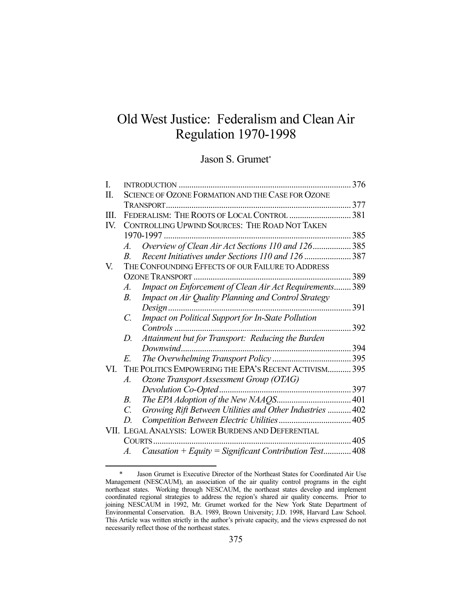# Old West Justice: Federalism and Clean Air Regulation 1970-1998

Jason S. Grumet\*

| I.  |                                                    |                                                          | 376  |  |
|-----|----------------------------------------------------|----------------------------------------------------------|------|--|
| Π.  |                                                    | SCIENCE OF OZONE FORMATION AND THE CASE FOR OZONE        |      |  |
|     |                                                    |                                                          |      |  |
| Ш.  |                                                    | FEDERALISM: THE ROOTS OF LOCAL CONTROL  381              |      |  |
| IV. |                                                    | CONTROLLING UPWIND SOURCES: THE ROAD NOT TAKEN           |      |  |
|     |                                                    | 1970-1997.                                               | 385  |  |
|     | $\mathcal{A}_{\cdot}$                              | Overview of Clean Air Act Sections 110 and 126 385       |      |  |
|     | $\boldsymbol{B}$                                   | Recent Initiatives under Sections 110 and 126 387        |      |  |
| V.  |                                                    | THE CONFOUNDING EFFECTS OF OUR FAILURE TO ADDRESS        |      |  |
|     |                                                    |                                                          | 389  |  |
|     | A.                                                 | Impact on Enforcement of Clean Air Act Requirements 389  |      |  |
|     | $B$ .                                              | Impact on Air Quality Planning and Control Strategy      |      |  |
|     |                                                    | Design.                                                  | 391  |  |
|     | C.                                                 | Impact on Political Support for In-State Pollution       |      |  |
|     |                                                    | $Contents$                                               | 392  |  |
|     | D.                                                 | Attainment but for Transport: Reducing the Burden        |      |  |
|     |                                                    |                                                          | .394 |  |
|     | E.                                                 |                                                          |      |  |
| VI. |                                                    | THE POLITICS EMPOWERING THE EPA'S RECENT ACTIVISM 395    |      |  |
|     | Α.                                                 | Ozone Transport Assessment Group (OTAG)                  |      |  |
|     |                                                    | Devolution Co-Opted                                      |      |  |
|     | В.                                                 |                                                          |      |  |
|     | C.                                                 | Growing Rift Between Utilities and Other Industries  402 |      |  |
|     | D                                                  |                                                          |      |  |
|     | VII. LEGAL ANALYSIS: LOWER BURDENS AND DEFERENTIAL |                                                          |      |  |
|     |                                                    | COURTS                                                   | 405  |  |
|     | A.                                                 | Causation + Equity = Significant Contribution Test 408   |      |  |

 <sup>\*</sup> Jason Grumet is Executive Director of the Northeast States for Coordinated Air Use Management (NESCAUM), an association of the air quality control programs in the eight northeast states. Working through NESCAUM, the northeast states develop and implement coordinated regional strategies to address the region's shared air quality concerns. Prior to joining NESCAUM in 1992, Mr. Grumet worked for the New York State Department of Environmental Conservation. B.A. 1989, Brown University; J.D. 1998, Harvard Law School. This Article was written strictly in the author's private capacity, and the views expressed do not necessarily reflect those of the northeast states.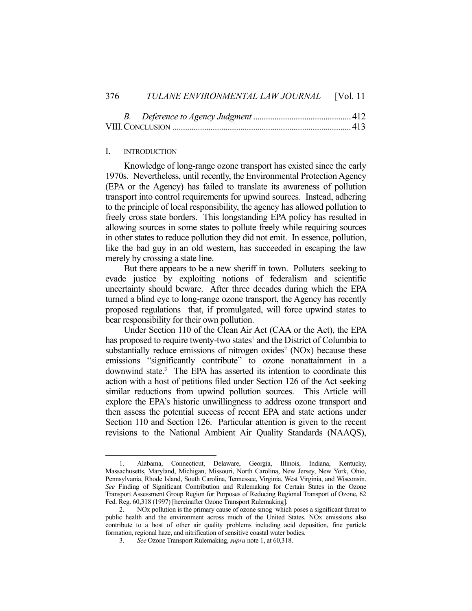*B. Deference to Agency Judgment* .............................................. 412 VIII. CONCLUSION .................................................................................... 413

## I. INTRODUCTION

<u>.</u>

 Knowledge of long-range ozone transport has existed since the early 1970s. Nevertheless, until recently, the Environmental Protection Agency (EPA or the Agency) has failed to translate its awareness of pollution transport into control requirements for upwind sources. Instead, adhering to the principle of local responsibility, the agency has allowed pollution to freely cross state borders. This longstanding EPA policy has resulted in allowing sources in some states to pollute freely while requiring sources in other states to reduce pollution they did not emit. In essence, pollution, like the bad guy in an old western, has succeeded in escaping the law merely by crossing a state line.

 But there appears to be a new sheriff in town. Polluters seeking to evade justice by exploiting notions of federalism and scientific uncertainty should beware. After three decades during which the EPA turned a blind eye to long-range ozone transport, the Agency has recently proposed regulations that, if promulgated, will force upwind states to bear responsibility for their own pollution.

 Under Section 110 of the Clean Air Act (CAA or the Act), the EPA has proposed to require twenty-two states<sup>1</sup> and the District of Columbia to substantially reduce emissions of nitrogen  $oxides<sup>2</sup>$  (NOx) because these emissions "significantly contribute" to ozone nonattainment in a downwind state.<sup>3</sup> The EPA has asserted its intention to coordinate this action with a host of petitions filed under Section 126 of the Act seeking similar reductions from upwind pollution sources. This Article will explore the EPA's historic unwillingness to address ozone transport and then assess the potential success of recent EPA and state actions under Section 110 and Section 126. Particular attention is given to the recent revisions to the National Ambient Air Quality Standards (NAAQS),

 <sup>1.</sup> Alabama, Connecticut, Delaware, Georgia, Illinois, Indiana, Kentucky, Massachusetts, Maryland, Michigan, Missouri, North Carolina, New Jersey, New York, Ohio, Pennsylvania, Rhode Island, South Carolina, Tennessee, Virginia, West Virginia, and Wisconsin. *See* Finding of Significant Contribution and Rulemaking for Certain States in the Ozone Transport Assessment Group Region for Purposes of Reducing Regional Transport of Ozone, 62 Fed. Reg. 60,318 (1997) [hereinafter Ozone Transport Rulemaking].

<sup>2.</sup> NOx pollution is the primary cause of ozone smog which poses a significant threat to public health and the environment across much of the United States. NOx emissions also contribute to a host of other air quality problems including acid deposition, fine particle formation, regional haze, and nitrification of sensitive coastal water bodies.

 <sup>3.</sup> *See* Ozone Transport Rulemaking, *supra* note 1, at 60,318.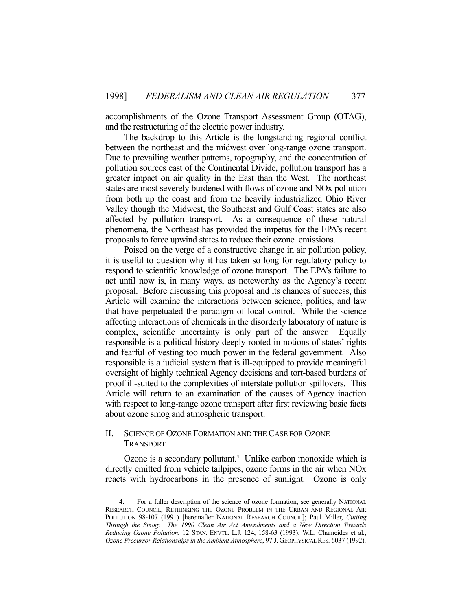accomplishments of the Ozone Transport Assessment Group (OTAG), and the restructuring of the electric power industry.

 The backdrop to this Article is the longstanding regional conflict between the northeast and the midwest over long-range ozone transport. Due to prevailing weather patterns, topography, and the concentration of pollution sources east of the Continental Divide, pollution transport has a greater impact on air quality in the East than the West. The northeast states are most severely burdened with flows of ozone and NOx pollution from both up the coast and from the heavily industrialized Ohio River Valley though the Midwest, the Southeast and Gulf Coast states are also affected by pollution transport. As a consequence of these natural phenomena, the Northeast has provided the impetus for the EPA's recent proposals to force upwind states to reduce their ozone emissions.

 Poised on the verge of a constructive change in air pollution policy, it is useful to question why it has taken so long for regulatory policy to respond to scientific knowledge of ozone transport. The EPA's failure to act until now is, in many ways, as noteworthy as the Agency's recent proposal. Before discussing this proposal and its chances of success, this Article will examine the interactions between science, politics, and law that have perpetuated the paradigm of local control. While the science affecting interactions of chemicals in the disorderly laboratory of nature is complex, scientific uncertainty is only part of the answer. Equally responsible is a political history deeply rooted in notions of states' rights and fearful of vesting too much power in the federal government. Also responsible is a judicial system that is ill-equipped to provide meaningful oversight of highly technical Agency decisions and tort-based burdens of proof ill-suited to the complexities of interstate pollution spillovers. This Article will return to an examination of the causes of Agency inaction with respect to long-range ozone transport after first reviewing basic facts about ozone smog and atmospheric transport.

# II. SCIENCE OF OZONE FORMATION AND THE CASE FOR OZONE TRANSPORT

<u>.</u>

Ozone is a secondary pollutant.<sup>4</sup> Unlike carbon monoxide which is directly emitted from vehicle tailpipes, ozone forms in the air when NOx reacts with hydrocarbons in the presence of sunlight. Ozone is only

 <sup>4.</sup> For a fuller description of the science of ozone formation, see generally NATIONAL RESEARCH COUNCIL, RETHINKING THE OZONE PROBLEM IN THE URBAN AND REGIONAL AIR POLLUTION 98-107 (1991) [hereinafter NATIONAL RESEARCH COUNCIL]; Paul Miller, *Cutting Through the Smog: The 1990 Clean Air Act Amendments and a New Direction Towards Reducing Ozone Pollution*, 12 STAN. ENVTL. L.J. 124, 158-63 (1993); W.L. Chameides et al., *Ozone Precursor Relationships in the Ambient Atmosphere*, 97 J. GEOPHYSICAL RES. 6037 (1992).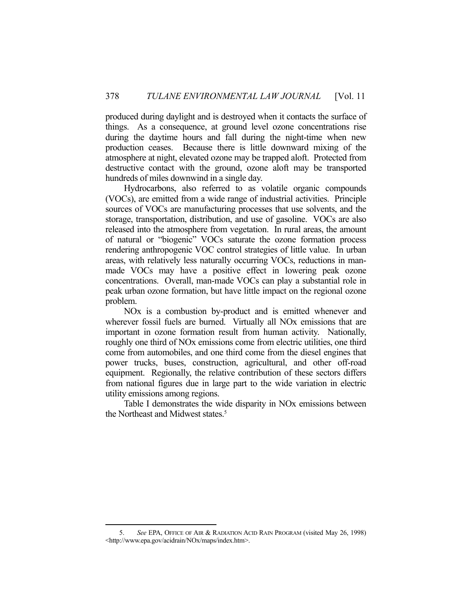produced during daylight and is destroyed when it contacts the surface of things. As a consequence, at ground level ozone concentrations rise during the daytime hours and fall during the night-time when new production ceases. Because there is little downward mixing of the atmosphere at night, elevated ozone may be trapped aloft. Protected from destructive contact with the ground, ozone aloft may be transported hundreds of miles downwind in a single day.

 Hydrocarbons, also referred to as volatile organic compounds (VOCs), are emitted from a wide range of industrial activities. Principle sources of VOCs are manufacturing processes that use solvents, and the storage, transportation, distribution, and use of gasoline. VOCs are also released into the atmosphere from vegetation. In rural areas, the amount of natural or "biogenic" VOCs saturate the ozone formation process rendering anthropogenic VOC control strategies of little value. In urban areas, with relatively less naturally occurring VOCs, reductions in manmade VOCs may have a positive effect in lowering peak ozone concentrations. Overall, man-made VOCs can play a substantial role in peak urban ozone formation, but have little impact on the regional ozone problem.

 NOx is a combustion by-product and is emitted whenever and wherever fossil fuels are burned. Virtually all NOx emissions that are important in ozone formation result from human activity. Nationally, roughly one third of NOx emissions come from electric utilities, one third come from automobiles, and one third come from the diesel engines that power trucks, buses, construction, agricultural, and other off-road equipment. Regionally, the relative contribution of these sectors differs from national figures due in large part to the wide variation in electric utility emissions among regions.

 Table I demonstrates the wide disparity in NOx emissions between the Northeast and Midwest states.<sup>5</sup>

 <sup>5.</sup> *See* EPA, OFFICE OF AIR & RADIATION ACID RAIN PROGRAM (visited May 26, 1998) <http://www.epa.gov/acidrain/NOx/maps/index.htm>.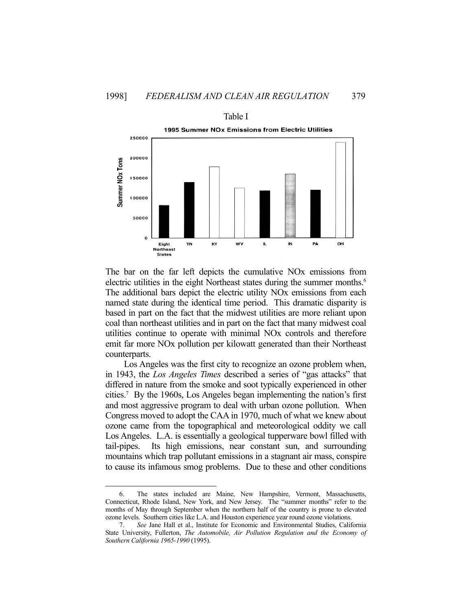

Table I 1995 Summer NOx Emissions from Electric Utilities

The bar on the far left depicts the cumulative NOx emissions from electric utilities in the eight Northeast states during the summer months.<sup>6</sup> The additional bars depict the electric utility NOx emissions from each named state during the identical time period. This dramatic disparity is based in part on the fact that the midwest utilities are more reliant upon coal than northeast utilities and in part on the fact that many midwest coal utilities continue to operate with minimal NOx controls and therefore emit far more NOx pollution per kilowatt generated than their Northeast counterparts.

 Los Angeles was the first city to recognize an ozone problem when, in 1943, the *Los Angeles Times* described a series of "gas attacks" that differed in nature from the smoke and soot typically experienced in other cities.7 By the 1960s, Los Angeles began implementing the nation's first and most aggressive program to deal with urban ozone pollution. When Congress moved to adopt the CAA in 1970, much of what we knew about ozone came from the topographical and meteorological oddity we call Los Angeles. L.A. is essentially a geological tupperware bowl filled with tail-pipes. Its high emissions, near constant sun, and surrounding mountains which trap pollutant emissions in a stagnant air mass, conspire to cause its infamous smog problems. Due to these and other conditions

 <sup>6.</sup> The states included are Maine, New Hampshire, Vermont, Massachusetts, Connecticut, Rhode Island, New York, and New Jersey. The "summer months" refer to the months of May through September when the northern half of the country is prone to elevated ozone levels. Southern cities like L.A. and Houston experience year round ozone violations.

 <sup>7.</sup> *See* Jane Hall et al., Institute for Economic and Environmental Studies, California State University, Fullerton, *The Automobile, Air Pollution Regulation and the Economy of Southern California 1965-1990* (1995).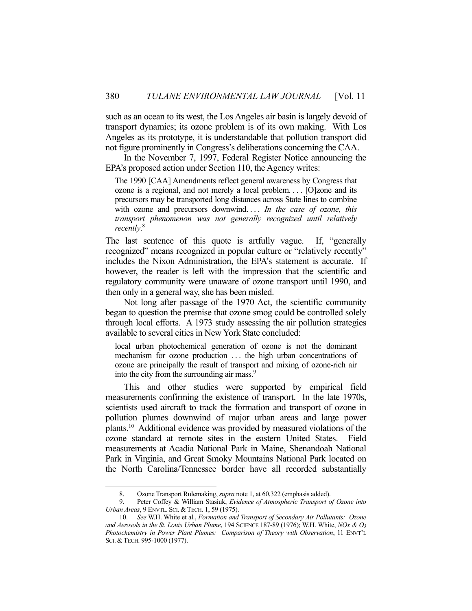such as an ocean to its west, the Los Angeles air basin is largely devoid of transport dynamics; its ozone problem is of its own making. With Los Angeles as its prototype, it is understandable that pollution transport did not figure prominently in Congress's deliberations concerning the CAA.

 In the November 7, 1997, Federal Register Notice announcing the EPA's proposed action under Section 110, the Agency writes:

The 1990 [CAA] Amendments reflect general awareness by Congress that ozone is a regional, and not merely a local problem. . . . [O]zone and its precursors may be transported long distances across State lines to combine with ozone and precursors downwind.... In the case of ozone, this *transport phenomenon was not generally recognized until relatively recently*. 8

The last sentence of this quote is artfully vague. If, "generally recognized" means recognized in popular culture or "relatively recently" includes the Nixon Administration, the EPA's statement is accurate. If however, the reader is left with the impression that the scientific and regulatory community were unaware of ozone transport until 1990, and then only in a general way, she has been misled.

 Not long after passage of the 1970 Act, the scientific community began to question the premise that ozone smog could be controlled solely through local efforts. A 1973 study assessing the air pollution strategies available to several cities in New York State concluded:

local urban photochemical generation of ozone is not the dominant mechanism for ozone production . . . the high urban concentrations of ozone are principally the result of transport and mixing of ozone-rich air into the city from the surrounding air mass.<sup>9</sup>

 This and other studies were supported by empirical field measurements confirming the existence of transport. In the late 1970s, scientists used aircraft to track the formation and transport of ozone in pollution plumes downwind of major urban areas and large power plants.10 Additional evidence was provided by measured violations of the ozone standard at remote sites in the eastern United States. Field measurements at Acadia National Park in Maine, Shenandoah National Park in Virginia, and Great Smoky Mountains National Park located on the North Carolina/Tennessee border have all recorded substantially

 <sup>8.</sup> Ozone Transport Rulemaking, *supra* note 1, at 60,322 (emphasis added).

 <sup>9.</sup> Peter Coffey & William Stasiuk, *Evidence of Atmospheric Transport of Ozone into Urban Areas*, 9 ENVTL. SCI. & TECH. 1, 59 (1975).

 <sup>10.</sup> *See* W.H. White et al., *Formation and Transport of Secondary Air Pollutants: Ozone and Aerosols in the St. Louis Urban Plume*, 194 SCIENCE 187-89 (1976); W.H. White, *NOx & O3 Photochemistry in Power Plant Plumes: Comparison of Theory with Observation*, 11 ENVT'L SCI. & TECH. 995-1000 (1977).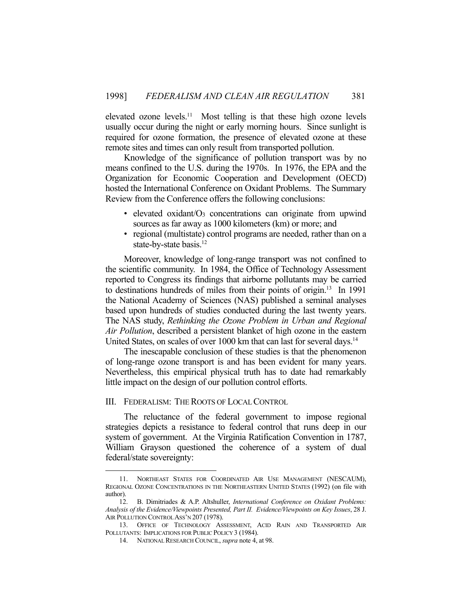elevated ozone levels.<sup>11</sup> Most telling is that these high ozone levels usually occur during the night or early morning hours. Since sunlight is required for ozone formation, the presence of elevated ozone at these remote sites and times can only result from transported pollution.

 Knowledge of the significance of pollution transport was by no means confined to the U.S. during the 1970s. In 1976, the EPA and the Organization for Economic Cooperation and Development (OECD) hosted the International Conference on Oxidant Problems. The Summary Review from the Conference offers the following conclusions:

- elevated oxidant/ $O_3$  concentrations can originate from upwind sources as far away as 1000 kilometers (km) or more; and
- regional (multistate) control programs are needed, rather than on a state-by-state basis.<sup>12</sup>

 Moreover, knowledge of long-range transport was not confined to the scientific community. In 1984, the Office of Technology Assessment reported to Congress its findings that airborne pollutants may be carried to destinations hundreds of miles from their points of origin.13 In 1991 the National Academy of Sciences (NAS) published a seminal analyses based upon hundreds of studies conducted during the last twenty years. The NAS study, *Rethinking the Ozone Problem in Urban and Regional Air Pollution*, described a persistent blanket of high ozone in the eastern United States, on scales of over 1000 km that can last for several days.<sup>14</sup>

 The inescapable conclusion of these studies is that the phenomenon of long-range ozone transport is and has been evident for many years. Nevertheless, this empirical physical truth has to date had remarkably little impact on the design of our pollution control efforts.

#### III. FEDERALISM: THE ROOTS OF LOCAL CONTROL

 The reluctance of the federal government to impose regional strategies depicts a resistance to federal control that runs deep in our system of government. At the Virginia Ratification Convention in 1787, William Grayson questioned the coherence of a system of dual federal/state sovereignty:

 <sup>11.</sup> NORTHEAST STATES FOR COORDINATED AIR USE MANAGEMENT (NESCAUM), REGIONAL OZONE CONCENTRATIONS IN THE NORTHEASTERN UNITED STATES (1992) (on file with author).

 <sup>12.</sup> B. Dimitriades & A.P. Altshuller, *International Conference on Oxidant Problems: Analysis of the Evidence/Viewpoints Presented, Part II. Evidence/Viewpoints on Key Issues*, 28 J. AIR POLLUTION CONTROL ASS'N 207 (1978).

 <sup>13.</sup> OFFICE OF TECHNOLOGY ASSESSMENT, ACID RAIN AND TRANSPORTED AIR POLLUTANTS: IMPLICATIONS FOR PUBLIC POLICY 3 (1984).

 <sup>14.</sup> NATIONAL RESEARCH COUNCIL, *supra* note 4, at 98.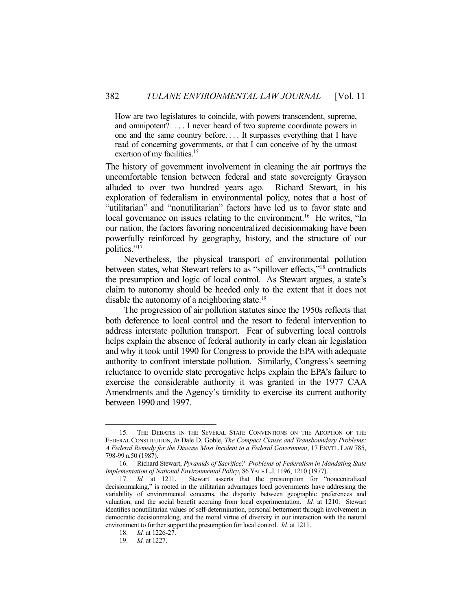How are two legislatures to coincide, with powers transcendent, supreme, and omnipotent? . . . I never heard of two supreme coordinate powers in one and the same country before. . . . It surpasses everything that I have read of concerning governments, or that I can conceive of by the utmost exertion of my facilities.<sup>15</sup>

The history of government involvement in cleaning the air portrays the uncomfortable tension between federal and state sovereignty Grayson alluded to over two hundred years ago. Richard Stewart, in his exploration of federalism in environmental policy, notes that a host of "utilitarian" and "nonutilitarian" factors have led us to favor state and local governance on issues relating to the environment.<sup>16</sup> He writes, "In our nation, the factors favoring noncentralized decisionmaking have been powerfully reinforced by geography, history, and the structure of our politics."<sup>17</sup>

 Nevertheless, the physical transport of environmental pollution between states, what Stewart refers to as "spillover effects,"<sup>18</sup> contradicts the presumption and logic of local control. As Stewart argues, a state's claim to autonomy should be heeded only to the extent that it does not disable the autonomy of a neighboring state.<sup>19</sup>

 The progression of air pollution statutes since the 1950s reflects that both deference to local control and the resort to federal intervention to address interstate pollution transport. Fear of subverting local controls helps explain the absence of federal authority in early clean air legislation and why it took until 1990 for Congress to provide the EPA with adequate authority to confront interstate pollution. Similarly, Congress's seeming reluctance to override state prerogative helps explain the EPA's failure to exercise the considerable authority it was granted in the 1977 CAA Amendments and the Agency's timidity to exercise its current authority between 1990 and 1997.

 <sup>15.</sup> THE DEBATES IN THE SEVERAL STATE CONVENTIONS ON THE ADOPTION OF THE FEDERAL CONSTITUTION, *in* Dale D. Goble, *The Compact Clause and Transboundary Problems: A Federal Remedy for the Disease Most Incident to a Federal Government*, 17 ENVTL. LAW 785, 798-99 n.50 (1987).

 <sup>16.</sup> Richard Stewart, *Pyramids of Sacrifice? Problems of Federalism in Mandating State Implementation of National Environmental Policy*, 86 YALE L.J. 1196, 1210 (1977).

 <sup>17.</sup> *Id.* at 1211. Stewart asserts that the presumption for "noncentralized decisionmaking," is rooted in the utilitarian advantages local governments have addressing the variability of environmental concerns, the disparity between geographic preferences and valuation, and the social benefit accruing from local experimentation. *Id.* at 1210. Stewart identifies nonutilitarian values of self-determination, personal betterment through involvement in democratic decisionmaking, and the moral virtue of diversity in our interaction with the natural environment to further support the presumption for local control. *Id.* at 1211.

 <sup>18.</sup> *Id.* at 1226-27.

 <sup>19.</sup> *Id.* at 1227.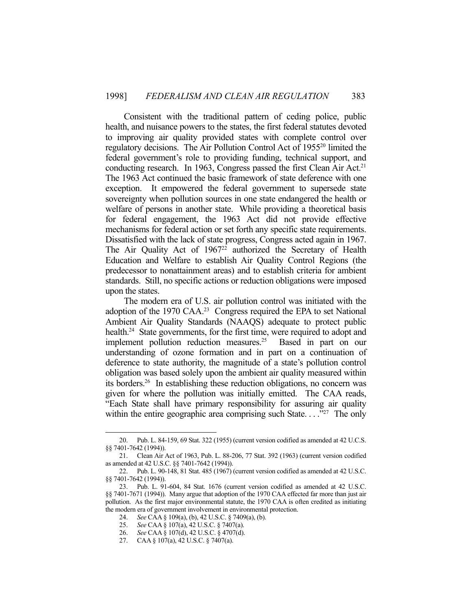Consistent with the traditional pattern of ceding police, public health, and nuisance powers to the states, the first federal statutes devoted to improving air quality provided states with complete control over regulatory decisions. The Air Pollution Control Act of 1955<sup>20</sup> limited the federal government's role to providing funding, technical support, and conducting research. In 1963, Congress passed the first Clean Air Act.<sup>21</sup> The 1963 Act continued the basic framework of state deference with one exception. It empowered the federal government to supersede state sovereignty when pollution sources in one state endangered the health or welfare of persons in another state. While providing a theoretical basis for federal engagement, the 1963 Act did not provide effective mechanisms for federal action or set forth any specific state requirements. Dissatisfied with the lack of state progress, Congress acted again in 1967. The Air Quality Act of 1967<sup>22</sup> authorized the Secretary of Health Education and Welfare to establish Air Quality Control Regions (the predecessor to nonattainment areas) and to establish criteria for ambient standards. Still, no specific actions or reduction obligations were imposed upon the states.

 The modern era of U.S. air pollution control was initiated with the adoption of the 1970 CAA.23 Congress required the EPA to set National Ambient Air Quality Standards (NAAQS) adequate to protect public health.<sup>24</sup> State governments, for the first time, were required to adopt and implement pollution reduction measures.<sup>25</sup> Based in part on our understanding of ozone formation and in part on a continuation of deference to state authority, the magnitude of a state's pollution control obligation was based solely upon the ambient air quality measured within its borders.26 In establishing these reduction obligations, no concern was given for where the pollution was initially emitted. The CAA reads, "Each State shall have primary responsibility for assuring air quality within the entire geographic area comprising such State...  $\cdot$ <sup>27</sup> The only

 <sup>20.</sup> Pub. L. 84-159, 69 Stat. 322 (1955) (current version codified as amended at 42 U.C.S. §§ 7401-7642 (1994)).

 <sup>21.</sup> Clean Air Act of 1963, Pub. L. 88-206, 77 Stat. 392 (1963) (current version codified as amended at 42 U.S.C. §§ 7401-7642 (1994)).

 <sup>22.</sup> Pub. L. 90-148, 81 Stat. 485 (1967) (current version codified as amended at 42 U.S.C. §§ 7401-7642 (1994)).

 <sup>23.</sup> Pub. L. 91-604, 84 Stat. 1676 (current version codified as amended at 42 U.S.C. §§ 7401-7671 (1994)). Many argue that adoption of the 1970 CAA effected far more than just air pollution. As the first major environmental statute, the 1970 CAA is often credited as initiating the modern era of government involvement in environmental protection.

 <sup>24.</sup> *See* CAA § 109(a), (b), 42 U.S.C. § 7409(a), (b).

 <sup>25.</sup> *See* CAA § 107(a), 42 U.S.C. § 7407(a). 26. *See* CAA § 107(d), 42 U.S.C. § 4707(d).

 <sup>27.</sup> CAA § 107(a), 42 U.S.C. § 7407(a).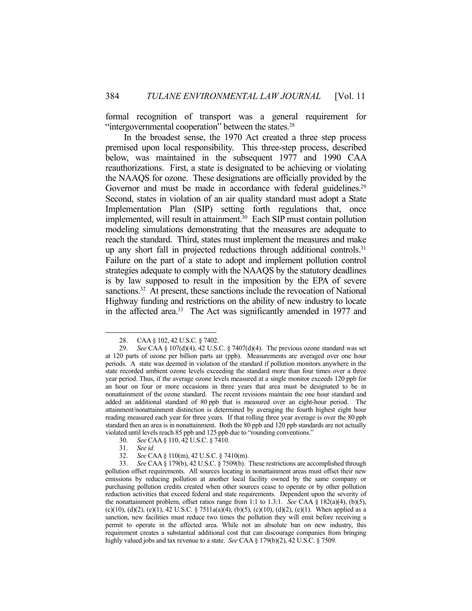formal recognition of transport was a general requirement for "intergovernmental cooperation" between the states.<sup>28</sup>

 In the broadest sense, the 1970 Act created a three step process premised upon local responsibility. This three-step process, described below, was maintained in the subsequent 1977 and 1990 CAA reauthorizations. First, a state is designated to be achieving or violating the NAAQS for ozone. These designations are officially provided by the Governor and must be made in accordance with federal guidelines.<sup>29</sup> Second, states in violation of an air quality standard must adopt a State Implementation Plan (SIP) setting forth regulations that, once implemented, will result in attainment.<sup>30</sup> Each SIP must contain pollution modeling simulations demonstrating that the measures are adequate to reach the standard. Third, states must implement the measures and make up any short fall in projected reductions through additional controls.<sup>31</sup> Failure on the part of a state to adopt and implement pollution control strategies adequate to comply with the NAAQS by the statutory deadlines is by law supposed to result in the imposition by the EPA of severe sanctions.<sup>32</sup> At present, these sanctions include the revocation of National Highway funding and restrictions on the ability of new industry to locate in the affected area.<sup>33</sup> The Act was significantly amended in 1977 and

 <sup>28.</sup> CAA § 102, 42 U.S.C. § 7402.

 <sup>29.</sup> *See* CAA § 107(d)(4), 42 U.S.C. § 7407(d)(4). The previous ozone standard was set at 120 parts of ozone per billion parts air (ppb). Measurements are averaged over one hour periods. A state was deemed in violation of the standard if pollution monitors anywhere in the state recorded ambient ozone levels exceeding the standard more than four times over a three year period. Thus, if the average ozone levels measured at a single monitor exceeds 120 ppb for an hour on four or more occasions in three years that area must be designated to be in nonattainment of the ozone standard. The recent revisions maintain the one hour standard and added an additional standard of 80 ppb that is measured over an eight-hour period. The attainment/nonattainment distinction is determined by averaging the fourth highest eight hour reading measured each year for three years. If that rolling three year average is over the 80 ppb standard then an area is in nonattainment. Both the 80 ppb and 120 ppb standards are not actually violated until levels reach 85 ppb and 125 ppb due to "rounding conventions."

 <sup>30.</sup> *See* CAA § 110, 42 U.S.C. § 7410.

 <sup>31.</sup> *See id.*

 <sup>32.</sup> *See* CAA § 110(m), 42 U.S.C. § 7410(m).

 <sup>33.</sup> *See* CAA § 179(b), 42 U.S.C. § 7509(b). These restrictions are accomplished through pollution offset requirements. All sources locating in nonattainment areas must offset their new emissions by reducing pollution at another local facility owned by the same company or purchasing pollution credits created when other sources cease to operate or by other pollution reduction activities that exceed federal and state requirements. Dependent upon the severity of the nonattainment problem, offset ratios range from 1:1 to 1.3:1. *See* CAA § 182(a)(4), (b)(5), (c)(10), (d)(2), (e)(1), 42 U.S.C. § 7511a(a)(4), (b)(5), (c)(10), (d)(2), (e)(1). When applied as a sanction, new facilities must reduce two times the pollution they will emit before receiving a permit to operate in the affected area. While not an absolute ban on new industry, this requirement creates a substantial additional cost that can discourage companies from bringing highly valued jobs and tax revenue to a state. *See* CAA § 179(b)(2), 42 U.S.C. § 7509.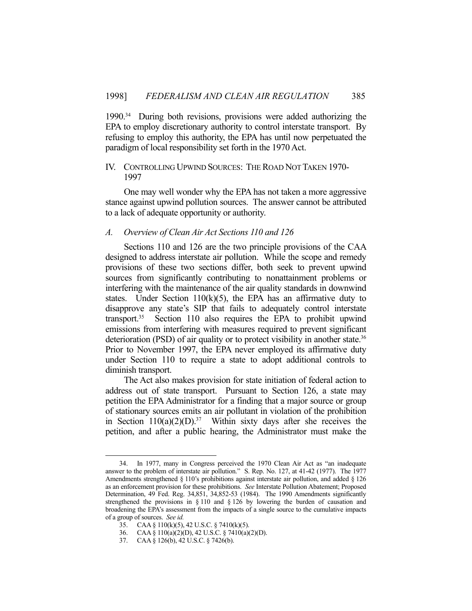1990.34 During both revisions, provisions were added authorizing the EPA to employ discretionary authority to control interstate transport. By refusing to employ this authority, the EPA has until now perpetuated the paradigm of local responsibility set forth in the 1970 Act.

# IV. CONTROLLING UPWIND SOURCES: THE ROAD NOT TAKEN 1970- 1997

 One may well wonder why the EPA has not taken a more aggressive stance against upwind pollution sources. The answer cannot be attributed to a lack of adequate opportunity or authority.

## *A. Overview of Clean Air Act Sections 110 and 126*

 Sections 110 and 126 are the two principle provisions of the CAA designed to address interstate air pollution. While the scope and remedy provisions of these two sections differ, both seek to prevent upwind sources from significantly contributing to nonattainment problems or interfering with the maintenance of the air quality standards in downwind states. Under Section  $110(k)(5)$ , the EPA has an affirmative duty to disapprove any state's SIP that fails to adequately control interstate transport.<sup>35</sup> Section 110 also requires the EPA to prohibit upwind emissions from interfering with measures required to prevent significant deterioration (PSD) of air quality or to protect visibility in another state.<sup>36</sup> Prior to November 1997, the EPA never employed its affirmative duty under Section 110 to require a state to adopt additional controls to diminish transport.

 The Act also makes provision for state initiation of federal action to address out of state transport. Pursuant to Section 126, a state may petition the EPA Administrator for a finding that a major source or group of stationary sources emits an air pollutant in violation of the prohibition in Section  $110(a)(2)(D)$ .<sup>37</sup> Within sixty days after she receives the petition, and after a public hearing, the Administrator must make the

 <sup>34.</sup> In 1977, many in Congress perceived the 1970 Clean Air Act as "an inadequate answer to the problem of interstate air pollution." S. Rep. No. 127, at 41-42 (1977). The 1977 Amendments strengthened § 110's prohibitions against interstate air pollution, and added § 126 as an enforcement provision for these prohibitions. *See* Interstate Pollution Abatement; Proposed Determination, 49 Fed. Reg. 34,851, 34,852-53 (1984). The 1990 Amendments significantly strengthened the provisions in § 110 and § 126 by lowering the burden of causation and broadening the EPA's assessment from the impacts of a single source to the cumulative impacts of a group of sources. *See id.*

 <sup>35.</sup> CAA § 110(k)(5), 42 U.S.C. § 7410(k)(5).

 <sup>36.</sup> CAA § 110(a)(2)(D), 42 U.S.C. § 7410(a)(2)(D).

 <sup>37.</sup> CAA § 126(b), 42 U.S.C. § 7426(b).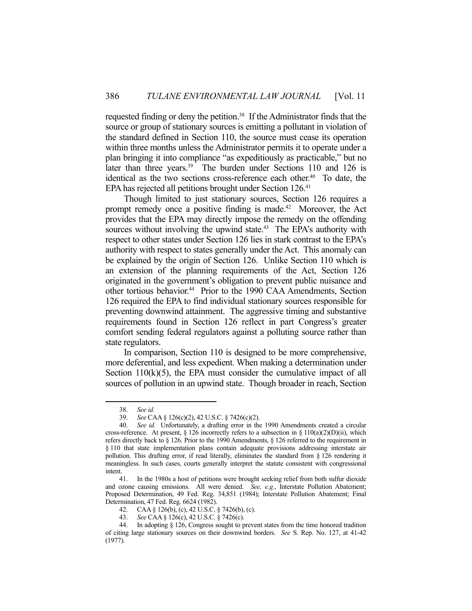requested finding or deny the petition.38 If the Administrator finds that the source or group of stationary sources is emitting a pollutant in violation of the standard defined in Section 110, the source must cease its operation within three months unless the Administrator permits it to operate under a plan bringing it into compliance "as expeditiously as practicable," but no later than three years.<sup>39</sup> The burden under Sections 110 and 126 is identical as the two sections cross-reference each other.<sup>40</sup> To date, the EPA has rejected all petitions brought under Section 126.<sup>41</sup>

 Though limited to just stationary sources, Section 126 requires a prompt remedy once a positive finding is made.<sup>42</sup> Moreover, the Act provides that the EPA may directly impose the remedy on the offending sources without involving the upwind state.<sup>43</sup> The EPA's authority with respect to other states under Section 126 lies in stark contrast to the EPA's authority with respect to states generally under the Act. This anomaly can be explained by the origin of Section 126. Unlike Section 110 which is an extension of the planning requirements of the Act, Section 126 originated in the government's obligation to prevent public nuisance and other tortious behavior.<sup>44</sup> Prior to the 1990 CAA Amendments, Section 126 required the EPA to find individual stationary sources responsible for preventing downwind attainment. The aggressive timing and substantive requirements found in Section 126 reflect in part Congress's greater comfort sending federal regulators against a polluting source rather than state regulators.

 In comparison, Section 110 is designed to be more comprehensive, more deferential, and less expedient. When making a determination under Section  $110(k)(5)$ , the EPA must consider the cumulative impact of all sources of pollution in an upwind state. Though broader in reach, Section

 <sup>38.</sup> *See id.*

 <sup>39.</sup> *See* CAA § 126(c)(2), 42 U.S.C. § 7426(c)(2).

 <sup>40.</sup> *See id.* Unfortunately, a drafting error in the 1990 Amendments created a circular cross-reference. At present, § 126 incorrectly refers to a subsection in §  $110(a)(2)(D)(ii)$ , which refers directly back to § 126. Prior to the 1990 Amendments, § 126 referred to the requirement in § 110 that state implementation plans contain adequate provisions addressing interstate air pollution. This drafting error, if read literally, eliminates the standard from  $\S$  126 rendering it meaningless. In such cases, courts generally interpret the statute consistent with congressional intent.

 <sup>41.</sup> In the 1980s a host of petitions were brought seeking relief from both sulfur dioxide and ozone causing emissions. All were denied. *See, e.g.*, Interstate Pollution Abatement; Proposed Determination, 49 Fed. Reg. 34,851 (1984); Interstate Pollution Abatement; Final Determination, 47 Fed. Reg. 6624 (1982).

 <sup>42.</sup> CAA § 126(b), (c), 42 U.S.C. § 7426(b), (c).

 <sup>43.</sup> *See* CAA § 126(c), 42 U.S.C. § 7426(c).

 <sup>44.</sup> In adopting § 126, Congress sought to prevent states from the time honored tradition of citing large stationary sources on their downwind borders. *See* S. Rep. No. 127, at 41-42 (1977).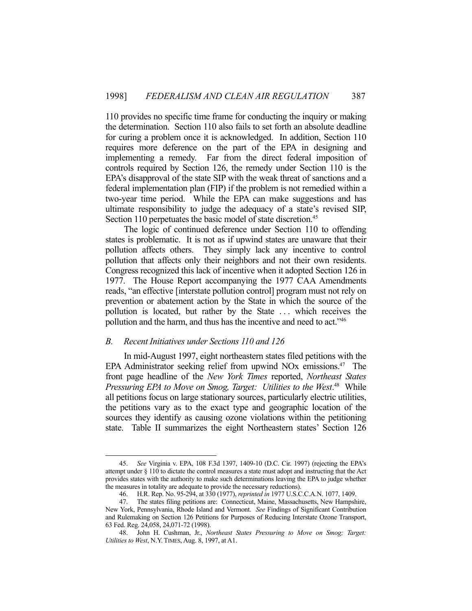110 provides no specific time frame for conducting the inquiry or making the determination. Section 110 also fails to set forth an absolute deadline for curing a problem once it is acknowledged. In addition, Section 110 requires more deference on the part of the EPA in designing and implementing a remedy. Far from the direct federal imposition of controls required by Section 126, the remedy under Section 110 is the EPA's disapproval of the state SIP with the weak threat of sanctions and a federal implementation plan (FIP) if the problem is not remedied within a two-year time period. While the EPA can make suggestions and has ultimate responsibility to judge the adequacy of a state's revised SIP, Section 110 perpetuates the basic model of state discretion.<sup>45</sup>

 The logic of continued deference under Section 110 to offending states is problematic. It is not as if upwind states are unaware that their pollution affects others. They simply lack any incentive to control pollution that affects only their neighbors and not their own residents. Congress recognized this lack of incentive when it adopted Section 126 in 1977. The House Report accompanying the 1977 CAA Amendments reads, "an effective [interstate pollution control] program must not rely on prevention or abatement action by the State in which the source of the pollution is located, but rather by the State . . . which receives the pollution and the harm, and thus has the incentive and need to act."46

## *B. Recent Initiatives under Sections 110 and 126*

<u>.</u>

 In mid-August 1997, eight northeastern states filed petitions with the EPA Administrator seeking relief from upwind NO<sub>x</sub> emissions.<sup>47</sup> The front page headline of the *New York Times* reported, *Northeast States*  Pressuring *EPA to Move on Smog, Target: Utilities to the West*.<sup>48</sup> While all petitions focus on large stationary sources, particularly electric utilities, the petitions vary as to the exact type and geographic location of the sources they identify as causing ozone violations within the petitioning state. Table II summarizes the eight Northeastern states' Section 126

 <sup>45.</sup> *See* Virginia v. EPA, 108 F.3d 1397, 1409-10 (D.C. Cir. 1997) (rejecting the EPA's attempt under § 110 to dictate the control measures a state must adopt and instructing that the Act provides states with the authority to make such determinations leaving the EPA to judge whether the measures in totality are adequate to provide the necessary reductions).

 <sup>46.</sup> H.R. Rep. No. 95-294, at 330 (1977), *reprinted in* 1977 U.S.C.C.A.N. 1077, 1409.

 <sup>47.</sup> The states filing petitions are: Connecticut, Maine, Massachusetts, New Hampshire, New York, Pennsylvania, Rhode Island and Vermont. *See* Findings of Significant Contribution and Rulemaking on Section 126 Petitions for Purposes of Reducing Interstate Ozone Transport, 63 Fed. Reg. 24,058, 24,071-72 (1998).

 <sup>48.</sup> John H. Cushman, Jr., *Northeast States Pressuring to Move on Smog; Target: Utilities to West*, N.Y.TIMES, Aug. 8, 1997, at A1.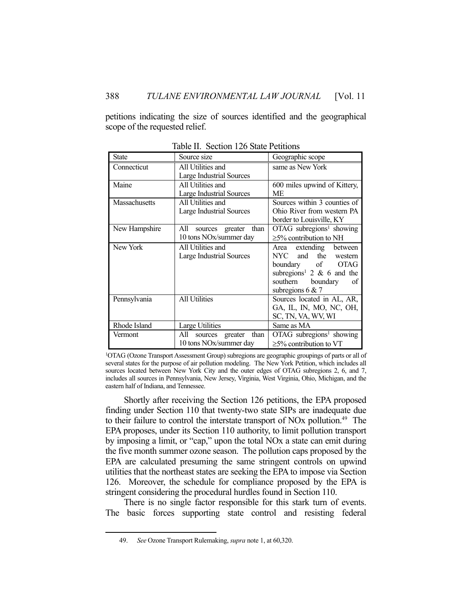petitions indicating the size of sources identified and the geographical scope of the requested relief.

| <b>State</b>         | Source size                                                 | Geographic scope                                                                                                                                                 |
|----------------------|-------------------------------------------------------------|------------------------------------------------------------------------------------------------------------------------------------------------------------------|
| Connecticut          | All Utilities and<br>Large Industrial Sources               | same as New York                                                                                                                                                 |
| Maine                | All Utilities and<br><b>Large Industrial Sources</b>        | 600 miles upwind of Kittery,<br>МE                                                                                                                               |
| <b>Massachusetts</b> | All Utilities and<br><b>Large Industrial Sources</b>        | Sources within 3 counties of<br>Ohio River from western PA<br>border to Louisville, KY                                                                           |
| New Hampshire        | sources greater than<br>All<br>10 tons NOx/summer day       | $OTAG$ subregions <sup>1</sup> showing<br>$\geq$ 5% contribution to NH                                                                                           |
| New York             | All Utilities and<br><b>Large Industrial Sources</b>        | Area extending between<br>NYC and the western<br>boundary of OTAG<br>subregions <sup>1</sup> 2 $\&$ 6 and the<br>southern boundary<br>- of<br>subregions $6 & 7$ |
| Pennsylvania         | All Utilities                                               | Sources located in AL, AR,<br>GA, IL, IN, MO, NC, OH,<br>SC, TN, VA, WV, WI                                                                                      |
| Rhode Island         | Large Utilities                                             | Same as MA                                                                                                                                                       |
| Vermont              | All<br>greater<br>than<br>sources<br>10 tons NOx/summer day | OTAG subregions <sup>1</sup> showing<br>$\geq$ 5% contribution to VT                                                                                             |

Table II. Section 126 State Petitions

1OTAG (Ozone Transport Assessment Group) subregions are geographic groupings of parts or all of several states for the purpose of air pollution modeling. The New York Petition, which includes all sources located between New York City and the outer edges of OTAG subregions 2, 6, and 7, includes all sources in Pennsylvania, New Jersey, Virginia, West Virginia, Ohio, Michigan, and the eastern half of Indiana, and Tennessee.

 Shortly after receiving the Section 126 petitions, the EPA proposed finding under Section 110 that twenty-two state SIPs are inadequate due to their failure to control the interstate transport of NO<sub>x</sub> pollution.<sup>49</sup> The EPA proposes, under its Section 110 authority, to limit pollution transport by imposing a limit, or "cap," upon the total NOx a state can emit during the five month summer ozone season. The pollution caps proposed by the EPA are calculated presuming the same stringent controls on upwind utilities that the northeast states are seeking the EPA to impose via Section 126. Moreover, the schedule for compliance proposed by the EPA is stringent considering the procedural hurdles found in Section 110.

 There is no single factor responsible for this stark turn of events. The basic forces supporting state control and resisting federal

 <sup>49.</sup> *See* Ozone Transport Rulemaking, *supra* note 1, at 60,320.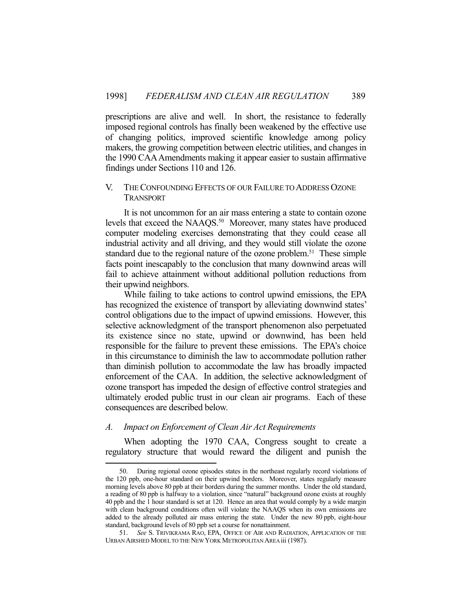prescriptions are alive and well. In short, the resistance to federally imposed regional controls has finally been weakened by the effective use of changing politics, improved scientific knowledge among policy makers, the growing competition between electric utilities, and changes in the 1990 CAA Amendments making it appear easier to sustain affirmative findings under Sections 110 and 126.

# V. THE CONFOUNDING EFFECTS OF OUR FAILURE TO ADDRESS OZONE TRANSPORT

 It is not uncommon for an air mass entering a state to contain ozone levels that exceed the NAAQS.<sup>50</sup> Moreover, many states have produced computer modeling exercises demonstrating that they could cease all industrial activity and all driving, and they would still violate the ozone standard due to the regional nature of the ozone problem.<sup>51</sup> These simple facts point inescapably to the conclusion that many downwind areas will fail to achieve attainment without additional pollution reductions from their upwind neighbors.

 While failing to take actions to control upwind emissions, the EPA has recognized the existence of transport by alleviating downwind states' control obligations due to the impact of upwind emissions. However, this selective acknowledgment of the transport phenomenon also perpetuated its existence since no state, upwind or downwind, has been held responsible for the failure to prevent these emissions. The EPA's choice in this circumstance to diminish the law to accommodate pollution rather than diminish pollution to accommodate the law has broadly impacted enforcement of the CAA. In addition, the selective acknowledgment of ozone transport has impeded the design of effective control strategies and ultimately eroded public trust in our clean air programs. Each of these consequences are described below.

## *A. Impact on Enforcement of Clean Air Act Requirements*

1

 When adopting the 1970 CAA, Congress sought to create a regulatory structure that would reward the diligent and punish the

 <sup>50.</sup> During regional ozone episodes states in the northeast regularly record violations of the 120 ppb, one-hour standard on their upwind borders. Moreover, states regularly measure morning levels above 80 ppb at their borders during the summer months. Under the old standard, a reading of 80 ppb is halfway to a violation, since "natural" background ozone exists at roughly 40 ppb and the 1 hour standard is set at 120. Hence an area that would comply by a wide margin with clean background conditions often will violate the NAAQS when its own emissions are added to the already polluted air mass entering the state. Under the new 80 ppb, eight-hour standard, background levels of 80 ppb set a course for nonattainment.

 <sup>51.</sup> *See* S. TRIVIKRAMA RAO, EPA, OFFICE OF AIR AND RADIATION, APPLICATION OF THE URBAN AIRSHED MODEL TO THE NEW YORK METROPOLITAN AREA iii (1987).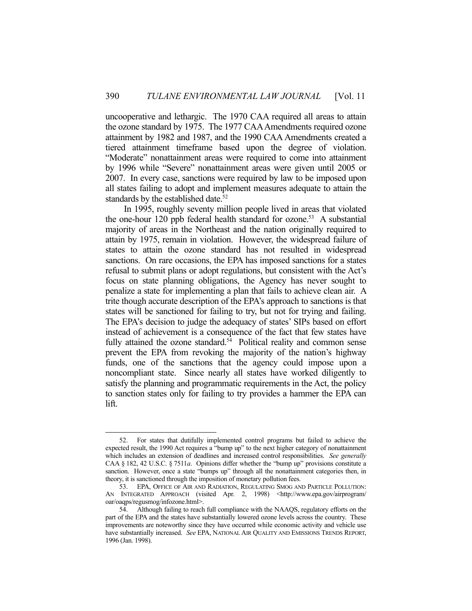uncooperative and lethargic. The 1970 CAA required all areas to attain the ozone standard by 1975. The 1977 CAA Amendments required ozone attainment by 1982 and 1987, and the 1990 CAA Amendments created a tiered attainment timeframe based upon the degree of violation. "Moderate" nonattainment areas were required to come into attainment by 1996 while "Severe" nonattainment areas were given until 2005 or 2007. In every case, sanctions were required by law to be imposed upon all states failing to adopt and implement measures adequate to attain the standards by the established date.<sup>52</sup>

 In 1995, roughly seventy million people lived in areas that violated the one-hour 120 ppb federal health standard for ozone.<sup>53</sup> A substantial majority of areas in the Northeast and the nation originally required to attain by 1975, remain in violation. However, the widespread failure of states to attain the ozone standard has not resulted in widespread sanctions. On rare occasions, the EPA has imposed sanctions for a states refusal to submit plans or adopt regulations, but consistent with the Act's focus on state planning obligations, the Agency has never sought to penalize a state for implementing a plan that fails to achieve clean air. A trite though accurate description of the EPA's approach to sanctions is that states will be sanctioned for failing to try, but not for trying and failing. The EPA's decision to judge the adequacy of states' SIPs based on effort instead of achievement is a consequence of the fact that few states have fully attained the ozone standard. $54$  Political reality and common sense prevent the EPA from revoking the majority of the nation's highway funds, one of the sanctions that the agency could impose upon a noncompliant state. Since nearly all states have worked diligently to satisfy the planning and programmatic requirements in the Act, the policy to sanction states only for failing to try provides a hammer the EPA can lift.

 <sup>52.</sup> For states that dutifully implemented control programs but failed to achieve the expected result, the 1990 Act requires a "bump up" to the next higher category of nonattainment which includes an extension of deadlines and increased control responsibilities. *See generally* CAA § 182, 42 U.S.C. § 7511*a*. Opinions differ whether the "bump up" provisions constitute a sanction. However, once a state "bumps up" through all the nonattainment categories then, in theory, it is sanctioned through the imposition of monetary pollution fees.

 <sup>53.</sup> EPA, OFFICE OF AIR AND RADIATION, REGULATING SMOG AND PARTICLE POLLUTION: AN INTEGRATED APPROACH (visited Apr. 2, 1998) <http://www.epa.gov/airprogram/ oar/oaqps/regusmog/infozone.html>.

 <sup>54.</sup> Although failing to reach full compliance with the NAAQS, regulatory efforts on the part of the EPA and the states have substantially lowered ozone levels across the country. These improvements are noteworthy since they have occurred while economic activity and vehicle use have substantially increased. *See* EPA, NATIONAL AIR QUALITY AND EMISSIONS TRENDS REPORT, 1996 (Jan. 1998).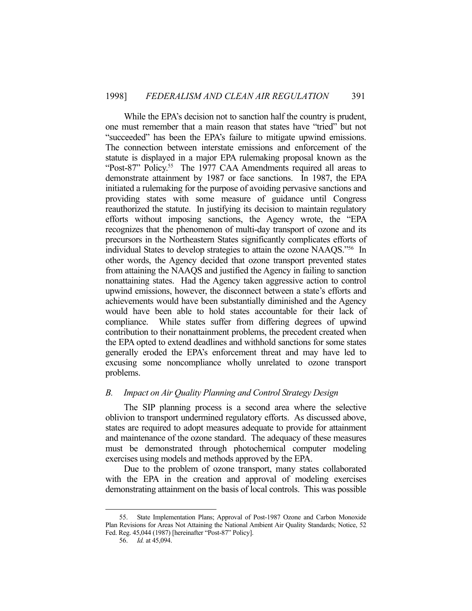While the EPA's decision not to sanction half the country is prudent, one must remember that a main reason that states have "tried" but not "succeeded" has been the EPA's failure to mitigate upwind emissions. The connection between interstate emissions and enforcement of the statute is displayed in a major EPA rulemaking proposal known as the "Post-87" Policy.<sup>55</sup> The 1977 CAA Amendments required all areas to demonstrate attainment by 1987 or face sanctions. In 1987, the EPA initiated a rulemaking for the purpose of avoiding pervasive sanctions and providing states with some measure of guidance until Congress reauthorized the statute. In justifying its decision to maintain regulatory efforts without imposing sanctions, the Agency wrote, the "EPA recognizes that the phenomenon of multi-day transport of ozone and its precursors in the Northeastern States significantly complicates efforts of individual States to develop strategies to attain the ozone NAAQS."56 In other words, the Agency decided that ozone transport prevented states from attaining the NAAQS and justified the Agency in failing to sanction nonattaining states. Had the Agency taken aggressive action to control upwind emissions, however, the disconnect between a state's efforts and achievements would have been substantially diminished and the Agency would have been able to hold states accountable for their lack of compliance. While states suffer from differing degrees of upwind contribution to their nonattainment problems, the precedent created when the EPA opted to extend deadlines and withhold sanctions for some states generally eroded the EPA's enforcement threat and may have led to excusing some noncompliance wholly unrelated to ozone transport problems.

## *B. Impact on Air Quality Planning and Control Strategy Design*

 The SIP planning process is a second area where the selective oblivion to transport undermined regulatory efforts. As discussed above, states are required to adopt measures adequate to provide for attainment and maintenance of the ozone standard. The adequacy of these measures must be demonstrated through photochemical computer modeling exercises using models and methods approved by the EPA.

 Due to the problem of ozone transport, many states collaborated with the EPA in the creation and approval of modeling exercises demonstrating attainment on the basis of local controls. This was possible

 <sup>55.</sup> State Implementation Plans; Approval of Post-1987 Ozone and Carbon Monoxide Plan Revisions for Areas Not Attaining the National Ambient Air Quality Standards; Notice, 52 Fed. Reg. 45,044 (1987) [hereinafter "Post-87" Policy].

 <sup>56.</sup> *Id.* at 45,094.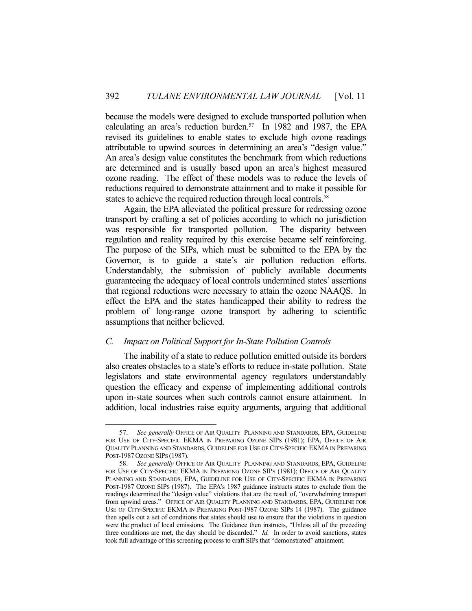because the models were designed to exclude transported pollution when calculating an area's reduction burden.<sup>57</sup> In 1982 and 1987, the EPA revised its guidelines to enable states to exclude high ozone readings attributable to upwind sources in determining an area's "design value." An area's design value constitutes the benchmark from which reductions are determined and is usually based upon an area's highest measured ozone reading. The effect of these models was to reduce the levels of reductions required to demonstrate attainment and to make it possible for states to achieve the required reduction through local controls. 58

 Again, the EPA alleviated the political pressure for redressing ozone transport by crafting a set of policies according to which no jurisdiction was responsible for transported pollution. The disparity between regulation and reality required by this exercise became self reinforcing. The purpose of the SIPs, which must be submitted to the EPA by the Governor, is to guide a state's air pollution reduction efforts. Understandably, the submission of publicly available documents guaranteeing the adequacy of local controls undermined states' assertions that regional reductions were necessary to attain the ozone NAAQS. In effect the EPA and the states handicapped their ability to redress the problem of long-range ozone transport by adhering to scientific assumptions that neither believed.

# *C. Impact on Political Support for In-State Pollution Controls*

1

 The inability of a state to reduce pollution emitted outside its borders also creates obstacles to a state's efforts to reduce in-state pollution. State legislators and state environmental agency regulators understandably question the efficacy and expense of implementing additional controls upon in-state sources when such controls cannot ensure attainment. In addition, local industries raise equity arguments, arguing that additional

 <sup>57.</sup> *See generally* OFFICE OF AIR QUALITY PLANNING AND STANDARDS, EPA, GUIDELINE FOR USE OF CITY-SPECIFIC EKMA IN PREPARING OZONE SIPS (1981); EPA, OFFICE OF AIR QUALITY PLANNING AND STANDARDS, GUIDELINE FOR USE OF CITY-SPECIFIC EKMA IN PREPARING POST-1987 OZONE SIPS (1987).

 <sup>58.</sup> *See generally* OFFICE OF AIR QUALITY PLANNING AND STANDARDS, EPA, GUIDELINE FOR USE OF CITY-SPECIFIC EKMA IN PREPARING OZONE SIPS (1981); OFFICE OF AIR QUALITY PLANNING AND STANDARDS, EPA, GUIDELINE FOR USE OF CITY-SPECIFIC EKMA IN PREPARING POST-1987 OZONE SIPS (1987). The EPA's 1987 guidance instructs states to exclude from the readings determined the "design value" violations that are the result of, "overwhelming transport from upwind areas." OFFICE OF AIR QUALITY PLANNING AND STANDARDS, EPA, GUIDELINE FOR USE OF CITY-SPECIFIC EKMA IN PREPARING POST-1987 OZONE SIPS 14 (1987). The guidance then spells out a set of conditions that states should use to ensure that the violations in question were the product of local emissions. The Guidance then instructs, "Unless all of the preceding three conditions are met, the day should be discarded." *Id.* In order to avoid sanctions, states took full advantage of this screening process to craft SIPs that "demonstrated" attainment.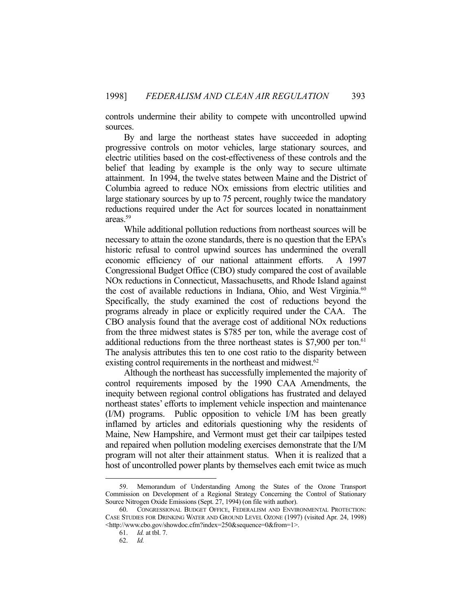controls undermine their ability to compete with uncontrolled upwind sources.

 By and large the northeast states have succeeded in adopting progressive controls on motor vehicles, large stationary sources, and electric utilities based on the cost-effectiveness of these controls and the belief that leading by example is the only way to secure ultimate attainment. In 1994, the twelve states between Maine and the District of Columbia agreed to reduce NOx emissions from electric utilities and large stationary sources by up to 75 percent, roughly twice the mandatory reductions required under the Act for sources located in nonattainment areas.59

 While additional pollution reductions from northeast sources will be necessary to attain the ozone standards, there is no question that the EPA's historic refusal to control upwind sources has undermined the overall economic efficiency of our national attainment efforts. A 1997 Congressional Budget Office (CBO) study compared the cost of available NOx reductions in Connecticut, Massachusetts, and Rhode Island against the cost of available reductions in Indiana, Ohio, and West Virginia.<sup>60</sup> Specifically, the study examined the cost of reductions beyond the programs already in place or explicitly required under the CAA. The CBO analysis found that the average cost of additional NOx reductions from the three midwest states is \$785 per ton, while the average cost of additional reductions from the three northeast states is  $$7,900$  per ton.<sup>61</sup> The analysis attributes this ten to one cost ratio to the disparity between existing control requirements in the northeast and midwest.<sup>62</sup>

 Although the northeast has successfully implemented the majority of control requirements imposed by the 1990 CAA Amendments, the inequity between regional control obligations has frustrated and delayed northeast states' efforts to implement vehicle inspection and maintenance (I/M) programs. Public opposition to vehicle I/M has been greatly inflamed by articles and editorials questioning why the residents of Maine, New Hampshire, and Vermont must get their car tailpipes tested and repaired when pollution modeling exercises demonstrate that the I/M program will not alter their attainment status. When it is realized that a host of uncontrolled power plants by themselves each emit twice as much

 <sup>59.</sup> Memorandum of Understanding Among the States of the Ozone Transport Commission on Development of a Regional Strategy Concerning the Control of Stationary Source Nitrogen Oxide Emissions (Sept. 27, 1994) (on file with author).

 <sup>60.</sup> CONGRESSIONAL BUDGET OFFICE, FEDERALISM AND ENVIRONMENTAL PROTECTION: CASE STUDIES FOR DRINKING WATER AND GROUND LEVEL OZONE (1997) (visited Apr. 24, 1998) <http://www.cbo.gov/showdoc.cfm?index=250&sequence=0&from=1>.

 <sup>61.</sup> *Id.* at tbl. 7.

 <sup>62.</sup> *Id.*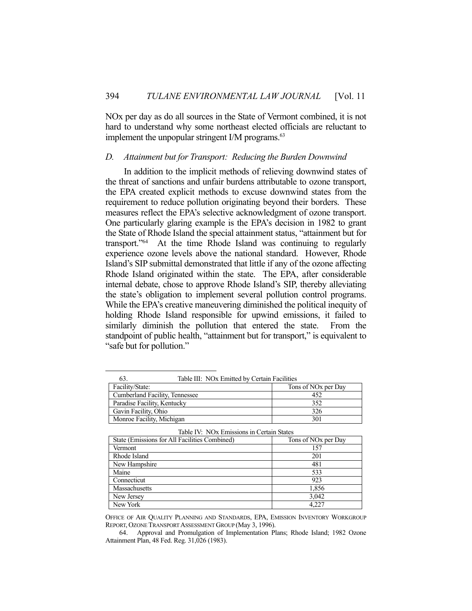NOx per day as do all sources in the State of Vermont combined, it is not hard to understand why some northeast elected officials are reluctant to implement the unpopular stringent I/M programs.<sup>63</sup>

## *D. Attainment but for Transport: Reducing the Burden Downwind*

 In addition to the implicit methods of relieving downwind states of the threat of sanctions and unfair burdens attributable to ozone transport, the EPA created explicit methods to excuse downwind states from the requirement to reduce pollution originating beyond their borders. These measures reflect the EPA's selective acknowledgment of ozone transport. One particularly glaring example is the EPA's decision in 1982 to grant the State of Rhode Island the special attainment status, "attainment but for transport."64 At the time Rhode Island was continuing to regularly experience ozone levels above the national standard. However, Rhode Island's SIP submittal demonstrated that little if any of the ozone affecting Rhode Island originated within the state. The EPA, after considerable internal debate, chose to approve Rhode Island's SIP, thereby alleviating the state's obligation to implement several pollution control programs. While the EPA's creative maneuvering diminished the political inequity of holding Rhode Island responsible for upwind emissions, it failed to similarly diminish the pollution that entered the state. From the standpoint of public health, "attainment but for transport," is equivalent to "safe but for pollution."

|                                | Table III: NOx Emitted by Certain Facilities<br>63. |                                 |
|--------------------------------|-----------------------------------------------------|---------------------------------|
|                                | Facility/State:                                     | Tons of NO <sub>x</sub> per Day |
| Cumberland Facility, Tennessee |                                                     | 452                             |
| Paradise Facility, Kentucky    |                                                     | 352                             |
|                                | Gavin Facility, Ohio                                | 326                             |
|                                | Monroe Facility, Michigan                           | 301                             |

1

| Table IV: NOx Emissions in Certain States |  |
|-------------------------------------------|--|
|-------------------------------------------|--|

| State (Emissions for All Facilities Combined) | Tons of NO <sub>x</sub> per Day |
|-----------------------------------------------|---------------------------------|
| Vermont                                       | 157                             |
| Rhode Island                                  | 201                             |
| New Hampshire                                 | 481                             |
| Maine                                         | 533                             |
| Connecticut                                   | 923                             |
| Massachusetts                                 | 1,856                           |
| New Jersey                                    | 3,042                           |
| New York                                      | 4.227                           |

OFFICE OF AIR QUALITY PLANNING AND STANDARDS, EPA, EMISSION INVENTORY WORKGROUP REPORT, OZONE TRANSPORT ASSESSMENT GROUP (May 3, 1996).

 64. Approval and Promulgation of Implementation Plans; Rhode Island; 1982 Ozone Attainment Plan, 48 Fed. Reg. 31,026 (1983).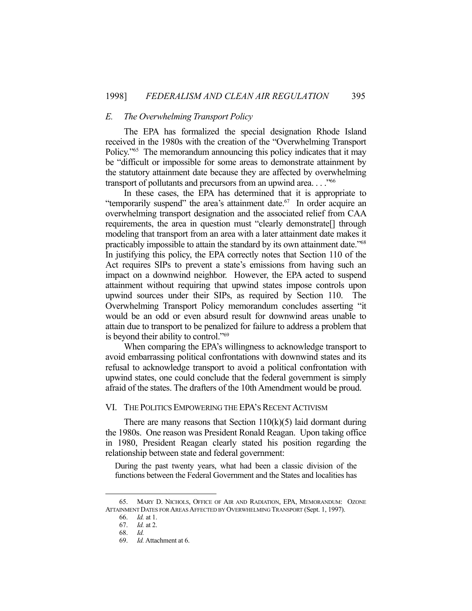## *E. The Overwhelming Transport Policy*

 The EPA has formalized the special designation Rhode Island received in the 1980s with the creation of the "Overwhelming Transport Policy."<sup>65</sup> The memorandum announcing this policy indicates that it may be "difficult or impossible for some areas to demonstrate attainment by the statutory attainment date because they are affected by overwhelming transport of pollutants and precursors from an upwind area. . . ."66

 In these cases, the EPA has determined that it is appropriate to "temporarily suspend" the area's attainment date.<sup>67</sup> In order acquire an overwhelming transport designation and the associated relief from CAA requirements, the area in question must "clearly demonstrate[] through modeling that transport from an area with a later attainment date makes it practicably impossible to attain the standard by its own attainment date."68 In justifying this policy, the EPA correctly notes that Section 110 of the Act requires SIPs to prevent a state's emissions from having such an impact on a downwind neighbor. However, the EPA acted to suspend attainment without requiring that upwind states impose controls upon upwind sources under their SIPs, as required by Section 110. The Overwhelming Transport Policy memorandum concludes asserting "it would be an odd or even absurd result for downwind areas unable to attain due to transport to be penalized for failure to address a problem that is beyond their ability to control."69

 When comparing the EPA's willingness to acknowledge transport to avoid embarrassing political confrontations with downwind states and its refusal to acknowledge transport to avoid a political confrontation with upwind states, one could conclude that the federal government is simply afraid of the states. The drafters of the 10th Amendment would be proud.

## VI. THE POLITICS EMPOWERING THE EPA'S RECENT ACTIVISM

There are many reasons that Section  $110(k)(5)$  laid dormant during the 1980s. One reason was President Ronald Reagan. Upon taking office in 1980, President Reagan clearly stated his position regarding the relationship between state and federal government:

During the past twenty years, what had been a classic division of the functions between the Federal Government and the States and localities has

 <sup>65.</sup> MARY D. NICHOLS, OFFICE OF AIR AND RADIATION, EPA, MEMORANDUM: OZONE ATTAINMENT DATES FOR AREAS AFFECTED BY OVERWHELMING TRANSPORT (Sept. 1, 1997).

 <sup>66.</sup> *Id.* at 1.

 <sup>67.</sup> *Id.* at 2.

 <sup>68.</sup> *Id.*

 <sup>69.</sup> *Id.* Attachment at 6.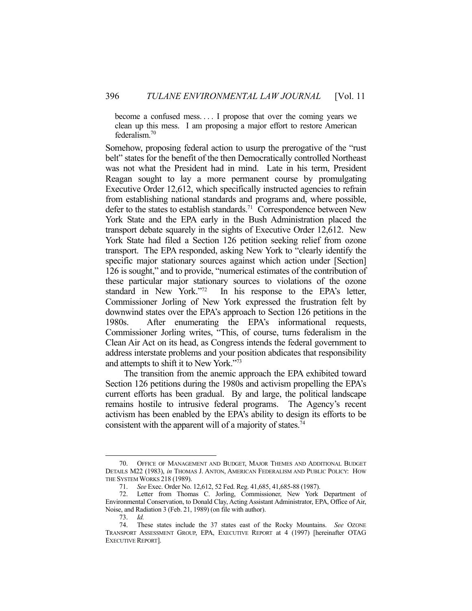become a confused mess. . . . I propose that over the coming years we clean up this mess. I am proposing a major effort to restore American federalism.70

Somehow, proposing federal action to usurp the prerogative of the "rust belt" states for the benefit of the then Democratically controlled Northeast was not what the President had in mind. Late in his term, President Reagan sought to lay a more permanent course by promulgating Executive Order 12,612, which specifically instructed agencies to refrain from establishing national standards and programs and, where possible, defer to the states to establish standards.<sup>71</sup> Correspondence between New York State and the EPA early in the Bush Administration placed the transport debate squarely in the sights of Executive Order 12,612. New York State had filed a Section 126 petition seeking relief from ozone transport. The EPA responded, asking New York to "clearly identify the specific major stationary sources against which action under [Section] 126 is sought," and to provide, "numerical estimates of the contribution of these particular major stationary sources to violations of the ozone standard in New York."72 In his response to the EPA's letter, Commissioner Jorling of New York expressed the frustration felt by downwind states over the EPA's approach to Section 126 petitions in the 1980s. After enumerating the EPA's informational requests, Commissioner Jorling writes, "This, of course, turns federalism in the Clean Air Act on its head, as Congress intends the federal government to address interstate problems and your position abdicates that responsibility and attempts to shift it to New York."73

 The transition from the anemic approach the EPA exhibited toward Section 126 petitions during the 1980s and activism propelling the EPA's current efforts has been gradual. By and large, the political landscape remains hostile to intrusive federal programs. The Agency's recent activism has been enabled by the EPA's ability to design its efforts to be consistent with the apparent will of a majority of states.74

 <sup>70.</sup> OFFICE OF MANAGEMENT AND BUDGET, MAJOR THEMES AND ADDITIONAL BUDGET DETAILS M22 (1983), *in* THOMAS J. ANTON, AMERICAN FEDERALISM AND PUBLIC POLICY: HOW THE SYSTEM WORKS 218 (1989).

 <sup>71.</sup> *See* Exec. Order No. 12,612, 52 Fed. Reg. 41,685, 41,685-88 (1987).

 <sup>72.</sup> Letter from Thomas C. Jorling, Commissioner, New York Department of Environmental Conservation, to Donald Clay, Acting Assistant Administrator, EPA, Office of Air, Noise, and Radiation 3 (Feb. 21, 1989) (on file with author).

 <sup>73.</sup> *Id.*

 <sup>74.</sup> These states include the 37 states east of the Rocky Mountains. *See* OZONE TRANSPORT ASSESSMENT GROUP, EPA, EXECUTIVE REPORT at 4 (1997) [hereinafter OTAG EXECUTIVE REPORT].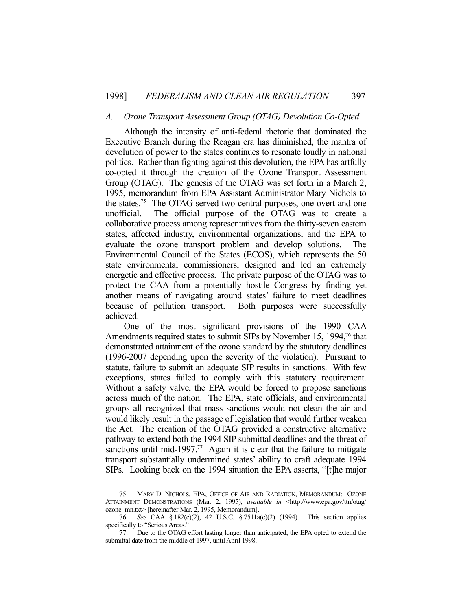#### *A. Ozone Transport Assessment Group (OTAG) Devolution Co-Opted*

 Although the intensity of anti-federal rhetoric that dominated the Executive Branch during the Reagan era has diminished, the mantra of devolution of power to the states continues to resonate loudly in national politics. Rather than fighting against this devolution, the EPA has artfully co-opted it through the creation of the Ozone Transport Assessment Group (OTAG). The genesis of the OTAG was set forth in a March 2, 1995, memorandum from EPA Assistant Administrator Mary Nichols to the states.75 The OTAG served two central purposes, one overt and one unofficial. The official purpose of the OTAG was to create a collaborative process among representatives from the thirty-seven eastern states, affected industry, environmental organizations, and the EPA to evaluate the ozone transport problem and develop solutions. The Environmental Council of the States (ECOS), which represents the 50 state environmental commissioners, designed and led an extremely energetic and effective process. The private purpose of the OTAG was to protect the CAA from a potentially hostile Congress by finding yet another means of navigating around states' failure to meet deadlines because of pollution transport. Both purposes were successfully achieved.

 One of the most significant provisions of the 1990 CAA Amendments required states to submit SIPs by November 15, 1994,<sup>76</sup> that demonstrated attainment of the ozone standard by the statutory deadlines (1996-2007 depending upon the severity of the violation). Pursuant to statute, failure to submit an adequate SIP results in sanctions. With few exceptions, states failed to comply with this statutory requirement. Without a safety valve, the EPA would be forced to propose sanctions across much of the nation. The EPA, state officials, and environmental groups all recognized that mass sanctions would not clean the air and would likely result in the passage of legislation that would further weaken the Act. The creation of the OTAG provided a constructive alternative pathway to extend both the 1994 SIP submittal deadlines and the threat of sanctions until mid-1997.<sup>77</sup> Again it is clear that the failure to mitigate transport substantially undermined states' ability to craft adequate 1994 SIPs. Looking back on the 1994 situation the EPA asserts, "[t]he major

 <sup>75.</sup> MARY D. NICHOLS, EPA, OFFICE OF AIR AND RADIATION, MEMORANDUM: OZONE ATTAINMENT DEMONSTRATIONS (Mar. 2, 1995), *available in* <http://www.epa.gov/ttn/otag/ ozone\_mn.txt> [hereinafter Mar. 2, 1995, Memorandum].

 <sup>76.</sup> *See* CAA § 182(c)(2), 42 U.S.C. § 7511a(c)(2) (1994). This section applies specifically to "Serious Areas."

 <sup>77.</sup> Due to the OTAG effort lasting longer than anticipated, the EPA opted to extend the submittal date from the middle of 1997, until April 1998.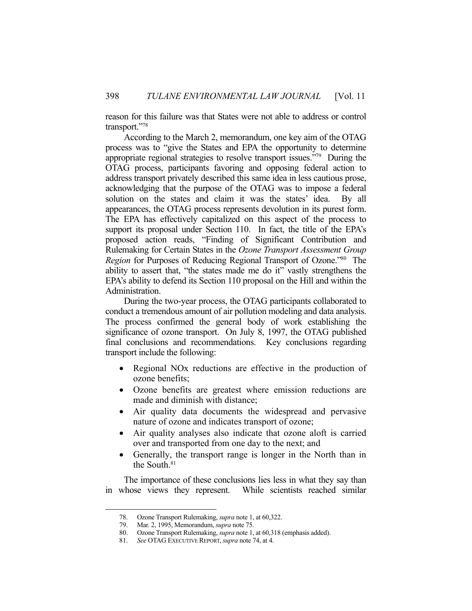reason for this failure was that States were not able to address or control transport."78

 According to the March 2, memorandum, one key aim of the OTAG process was to "give the States and EPA the opportunity to determine appropriate regional strategies to resolve transport issues."<sup>79</sup> During the OTAG process, participants favoring and opposing federal action to address transport privately described this same idea in less cautious prose, acknowledging that the purpose of the OTAG was to impose a federal solution on the states and claim it was the states' idea. By all appearances, the OTAG process represents devolution in its purest form. The EPA has effectively capitalized on this aspect of the process to support its proposal under Section 110. In fact, the title of the EPA's proposed action reads, "Finding of Significant Contribution and Rulemaking for Certain States in the *Ozone Transport Assessment Group Region* for Purposes of Reducing Regional Transport of Ozone.<sup>180</sup> The ability to assert that, "the states made me do it" vastly strengthens the EPA's ability to defend its Section 110 proposal on the Hill and within the Administration.

 During the two-year process, the OTAG participants collaborated to conduct a tremendous amount of air pollution modeling and data analysis. The process confirmed the general body of work establishing the significance of ozone transport. On July 8, 1997, the OTAG published final conclusions and recommendations. Key conclusions regarding transport include the following:

- Regional NOx reductions are effective in the production of ozone benefits;
- Ozone benefits are greatest where emission reductions are made and diminish with distance;
- Air quality data documents the widespread and pervasive nature of ozone and indicates transport of ozone;
- Air quality analyses also indicate that ozone aloft is carried over and transported from one day to the next; and
- Generally, the transport range is longer in the North than in the South.81

 The importance of these conclusions lies less in what they say than in whose views they represent. While scientists reached similar

Ozone Transport Rulemaking, *supra* note 1, at 60,322.

<sup>78.</sup> Ozone Transport Rulemaking, *supra* note 1, 79. Mar. 2, 1995, Memorandum, *supra* note 75.

 <sup>80.</sup> Ozone Transport Rulemaking, *supra* note 1, at 60,318 (emphasis added).

 <sup>81.</sup> *See* OTAG EXECUTIVE REPORT, *supra* note 74, at 4.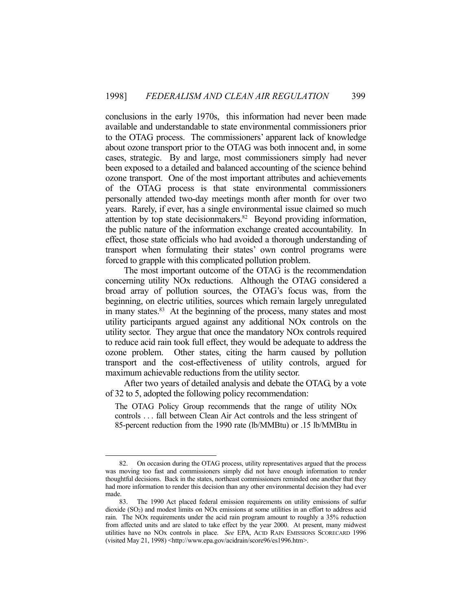conclusions in the early 1970s, this information had never been made available and understandable to state environmental commissioners prior to the OTAG process. The commissioners' apparent lack of knowledge about ozone transport prior to the OTAG was both innocent and, in some cases, strategic. By and large, most commissioners simply had never been exposed to a detailed and balanced accounting of the science behind ozone transport. One of the most important attributes and achievements of the OTAG process is that state environmental commissioners personally attended two-day meetings month after month for over two years. Rarely, if ever, has a single environmental issue claimed so much attention by top state decisionmakers.<sup>82</sup> Beyond providing information, the public nature of the information exchange created accountability. In effect, those state officials who had avoided a thorough understanding of transport when formulating their states' own control programs were forced to grapple with this complicated pollution problem.

 The most important outcome of the OTAG is the recommendation concerning utility NOx reductions. Although the OTAG considered a broad array of pollution sources, the OTAG's focus was, from the beginning, on electric utilities, sources which remain largely unregulated in many states.<sup>83</sup> At the beginning of the process, many states and most utility participants argued against any additional NOx controls on the utility sector. They argue that once the mandatory NOx controls required to reduce acid rain took full effect, they would be adequate to address the ozone problem. Other states, citing the harm caused by pollution transport and the cost-effectiveness of utility controls, argued for maximum achievable reductions from the utility sector.

 After two years of detailed analysis and debate the OTAG, by a vote of 32 to 5, adopted the following policy recommendation:

The OTAG Policy Group recommends that the range of utility NOx controls . . . fall between Clean Air Act controls and the less stringent of 85-percent reduction from the 1990 rate (lb/MMBtu) or .15 lb/MMBtu in

 <sup>82.</sup> On occasion during the OTAG process, utility representatives argued that the process was moving too fast and commissioners simply did not have enough information to render thoughtful decisions. Back in the states, northeast commissioners reminded one another that they had more information to render this decision than any other environmental decision they had ever made.

 <sup>83.</sup> The 1990 Act placed federal emission requirements on utility emissions of sulfur dioxide (SO2) and modest limits on NOx emissions at some utilities in an effort to address acid rain. The NOx requirements under the acid rain program amount to roughly a 35% reduction from affected units and are slated to take effect by the year 2000. At present, many midwest utilities have no NOx controls in place. *See* EPA, ACID RAIN EMISSIONS SCORECARD 1996 (visited May 21, 1998) <http://www.epa.gov/acidrain/score96/es1996.htm>.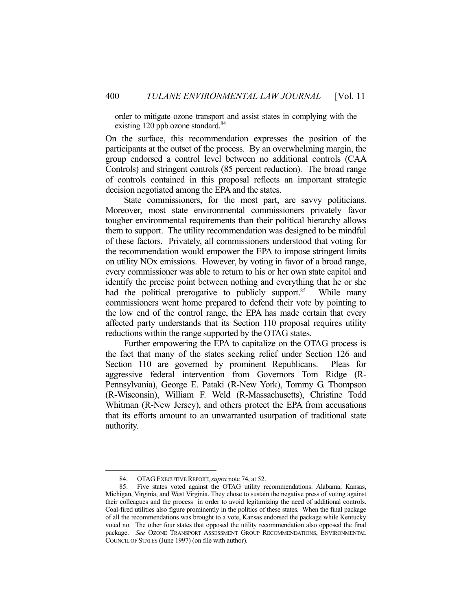order to mitigate ozone transport and assist states in complying with the existing 120 ppb ozone standard.<sup>84</sup>

On the surface, this recommendation expresses the position of the participants at the outset of the process. By an overwhelming margin, the group endorsed a control level between no additional controls (CAA Controls) and stringent controls (85 percent reduction). The broad range of controls contained in this proposal reflects an important strategic decision negotiated among the EPA and the states.

 State commissioners, for the most part, are savvy politicians. Moreover, most state environmental commissioners privately favor tougher environmental requirements than their political hierarchy allows them to support. The utility recommendation was designed to be mindful of these factors. Privately, all commissioners understood that voting for the recommendation would empower the EPA to impose stringent limits on utility NOx emissions. However, by voting in favor of a broad range, every commissioner was able to return to his or her own state capitol and identify the precise point between nothing and everything that he or she had the political prerogative to publicly support.<sup>85</sup> While many commissioners went home prepared to defend their vote by pointing to the low end of the control range, the EPA has made certain that every affected party understands that its Section 110 proposal requires utility reductions within the range supported by the OTAG states.

 Further empowering the EPA to capitalize on the OTAG process is the fact that many of the states seeking relief under Section 126 and Section 110 are governed by prominent Republicans. Pleas for aggressive federal intervention from Governors Tom Ridge (R-Pennsylvania), George E. Pataki (R-New York), Tommy G. Thompson (R-Wisconsin), William F. Weld (R-Massachusetts), Christine Todd Whitman (R-New Jersey), and others protect the EPA from accusations that its efforts amount to an unwarranted usurpation of traditional state authority.

 <sup>84.</sup> OTAG EXECUTIVE REPORT, *supra* note 74, at 52.

 <sup>85.</sup> Five states voted against the OTAG utility recommendations: Alabama, Kansas, Michigan, Virginia, and West Virginia. They chose to sustain the negative press of voting against their colleagues and the process in order to avoid legitimizing the need of additional controls. Coal-fired utilities also figure prominently in the politics of these states. When the final package of all the recommendations was brought to a vote, Kansas endorsed the package while Kentucky voted no. The other four states that opposed the utility recommendation also opposed the final package. *See* OZONE TRANSPORT ASSESSMENT GROUP RECOMMENDATIONS, ENVIRONMENTAL COUNCIL OF STATES (June 1997) (on file with author).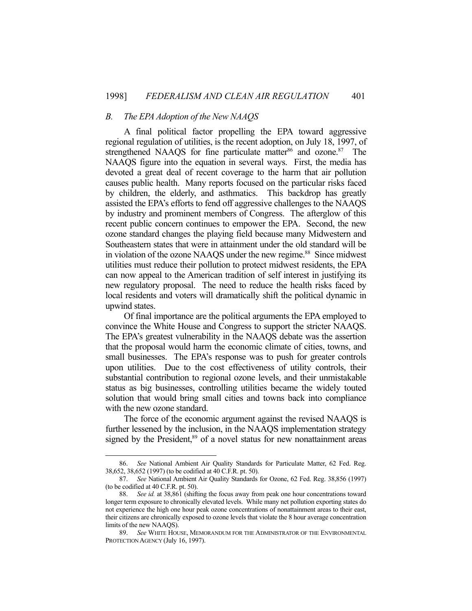#### *B. The EPA Adoption of the New NAAQS*

 A final political factor propelling the EPA toward aggressive regional regulation of utilities, is the recent adoption, on July 18, 1997, of strengthened NAAQS for fine particulate matter<sup>86</sup> and ozone.<sup>87</sup> The NAAQS figure into the equation in several ways. First, the media has devoted a great deal of recent coverage to the harm that air pollution causes public health. Many reports focused on the particular risks faced by children, the elderly, and asthmatics. This backdrop has greatly assisted the EPA's efforts to fend off aggressive challenges to the NAAQS by industry and prominent members of Congress. The afterglow of this recent public concern continues to empower the EPA. Second, the new ozone standard changes the playing field because many Midwestern and Southeastern states that were in attainment under the old standard will be in violation of the ozone NAAQS under the new regime.<sup>88</sup> Since midwest utilities must reduce their pollution to protect midwest residents, the EPA can now appeal to the American tradition of self interest in justifying its new regulatory proposal. The need to reduce the health risks faced by local residents and voters will dramatically shift the political dynamic in upwind states.

 Of final importance are the political arguments the EPA employed to convince the White House and Congress to support the stricter NAAQS. The EPA's greatest vulnerability in the NAAQS debate was the assertion that the proposal would harm the economic climate of cities, towns, and small businesses. The EPA's response was to push for greater controls upon utilities. Due to the cost effectiveness of utility controls, their substantial contribution to regional ozone levels, and their unmistakable status as big businesses, controlling utilities became the widely touted solution that would bring small cities and towns back into compliance with the new ozone standard.

 The force of the economic argument against the revised NAAQS is further lessened by the inclusion, in the NAAQS implementation strategy signed by the President,<sup>89</sup> of a novel status for new nonattainment areas

 <sup>86.</sup> *See* National Ambient Air Quality Standards for Particulate Matter, 62 Fed. Reg. 38,652, 38,652 (1997) (to be codified at 40 C.F.R. pt. 50).

 <sup>87.</sup> *See* National Ambient Air Quality Standards for Ozone, 62 Fed. Reg. 38,856 (1997) (to be codified at 40 C.F.R. pt. 50).

 <sup>88.</sup> *See id.* at 38,861 (shifting the focus away from peak one hour concentrations toward longer term exposure to chronically elevated levels. While many net pollution exporting states do not experience the high one hour peak ozone concentrations of nonattainment areas to their east, their citizens are chronically exposed to ozone levels that violate the 8 hour average concentration limits of the new NAAQS).

 <sup>89.</sup> *See* WHITE HOUSE, MEMORANDUM FOR THE ADMINISTRATOR OF THE ENVIRONMENTAL PROTECTION AGENCY (July 16, 1997).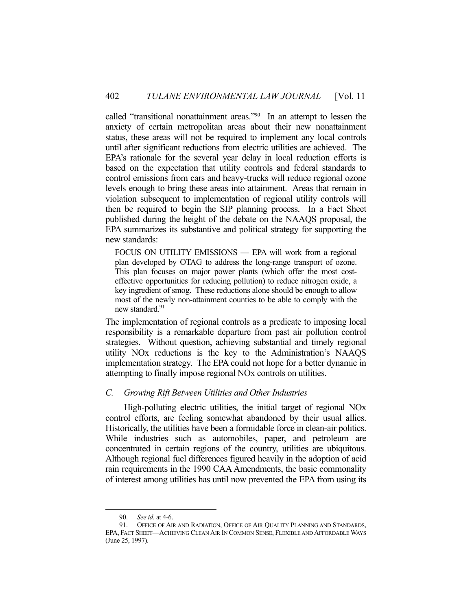called "transitional nonattainment areas."90 In an attempt to lessen the anxiety of certain metropolitan areas about their new nonattainment status, these areas will not be required to implement any local controls until after significant reductions from electric utilities are achieved. The EPA's rationale for the several year delay in local reduction efforts is based on the expectation that utility controls and federal standards to control emissions from cars and heavy-trucks will reduce regional ozone levels enough to bring these areas into attainment. Areas that remain in violation subsequent to implementation of regional utility controls will then be required to begin the SIP planning process. In a Fact Sheet published during the height of the debate on the NAAQS proposal, the EPA summarizes its substantive and political strategy for supporting the new standards:

FOCUS ON UTILITY EMISSIONS — EPA will work from a regional plan developed by OTAG to address the long-range transport of ozone. This plan focuses on major power plants (which offer the most costeffective opportunities for reducing pollution) to reduce nitrogen oxide, a key ingredient of smog. These reductions alone should be enough to allow most of the newly non-attainment counties to be able to comply with the new standard.<sup>91</sup>

The implementation of regional controls as a predicate to imposing local responsibility is a remarkable departure from past air pollution control strategies. Without question, achieving substantial and timely regional utility NOx reductions is the key to the Administration's NAAQS implementation strategy. The EPA could not hope for a better dynamic in attempting to finally impose regional NOx controls on utilities.

## *C. Growing Rift Between Utilities and Other Industries*

 High-polluting electric utilities, the initial target of regional NOx control efforts, are feeling somewhat abandoned by their usual allies. Historically, the utilities have been a formidable force in clean-air politics. While industries such as automobiles, paper, and petroleum are concentrated in certain regions of the country, utilities are ubiquitous. Although regional fuel differences figured heavily in the adoption of acid rain requirements in the 1990 CAA Amendments, the basic commonality of interest among utilities has until now prevented the EPA from using its

 <sup>90.</sup> *See id.* at 4-6.

 <sup>91.</sup> OFFICE OF AIR AND RADIATION, OFFICE OF AIR QUALITY PLANNING AND STANDARDS, EPA, FACT SHEET—ACHIEVING CLEAN AIR IN COMMON SENSE, FLEXIBLE AND AFFORDABLE WAYS (June 25, 1997).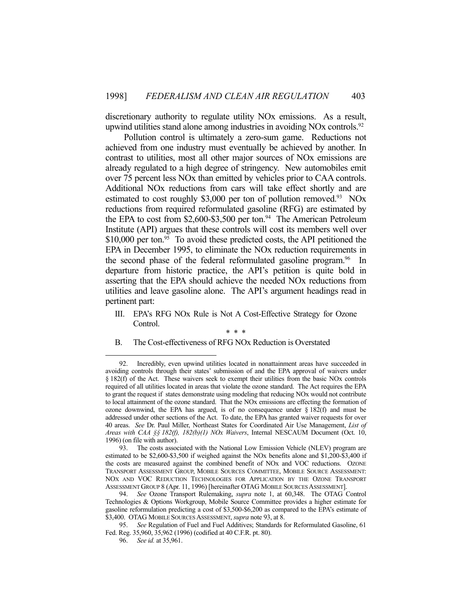discretionary authority to regulate utility NOx emissions. As a result, upwind utilities stand alone among industries in avoiding NOx controls.<sup>92</sup>

 Pollution control is ultimately a zero-sum game. Reductions not achieved from one industry must eventually be achieved by another. In contrast to utilities, most all other major sources of NOx emissions are already regulated to a high degree of stringency. New automobiles emit over 75 percent less NOx than emitted by vehicles prior to CAA controls. Additional NOx reductions from cars will take effect shortly and are estimated to cost roughly \$3,000 per ton of pollution removed.<sup>93</sup> NOx reductions from required reformulated gasoline (RFG) are estimated by the EPA to cost from \$2,600-\$3,500 per ton.<sup>94</sup> The American Petroleum Institute (API) argues that these controls will cost its members well over  $$10,000$  per ton.<sup>95</sup> To avoid these predicted costs, the API petitioned the EPA in December 1995, to eliminate the NOx reduction requirements in the second phase of the federal reformulated gasoline program.<sup>96</sup> In departure from historic practice, the API's petition is quite bold in asserting that the EPA should achieve the needed NOx reductions from utilities and leave gasoline alone. The API's argument headings read in pertinent part:

III. EPA's RFG NOx Rule is Not A Cost-Effective Strategy for Ozone Control.

B. The Cost-effectiveness of RFG NOx Reduction is Overstated

<sup>\* \* \*</sup> 

 <sup>92.</sup> Incredibly, even upwind utilities located in nonattainment areas have succeeded in avoiding controls through their states' submission of and the EPA approval of waivers under § 182(f) of the Act. These waivers seek to exempt their utilities from the basic NOx controls required of all utilities located in areas that violate the ozone standard. The Act requires the EPA to grant the request if states demonstrate using modeling that reducing NOx would not contribute to local attainment of the ozone standard. That the NOx emissions are effecting the formation of ozone downwind, the EPA has argued, is of no consequence under  $\S 182(f)$  and must be addressed under other sections of the Act. To date, the EPA has granted waiver requests for over 40 areas. *See* Dr. Paul Miller, Northeast States for Coordinated Air Use Management, *List of Areas with CAA §§ 182(f), 182(b)(1) NOx Waivers*, Internal NESCAUM Document (Oct. 10, 1996) (on file with author).

 <sup>93.</sup> The costs associated with the National Low Emission Vehicle (NLEV) program are estimated to be \$2,600-\$3,500 if weighed against the NOx benefits alone and \$1,200-\$3,400 if the costs are measured against the combined benefit of NOx and VOC reductions. OZONE TRANSPORT ASSESSMENT GROUP, MOBILE SOURCES COMMITTEE, MOBILE SOURCE ASSESSMENT: NOX AND VOC REDUCTION TECHNOLOGIES FOR APPLICATION BY THE OZONE TRANSPORT ASSESSMENT GROUP 8 (Apr. 11, 1996) [hereinafter OTAG MOBILE SOURCES ASSESSMENT].

 <sup>94.</sup> *See* Ozone Transport Rulemaking, *supra* note 1, at 60,348. The OTAG Control Technologies & Options Workgroup, Mobile Source Committee provides a higher estimate for gasoline reformulation predicting a cost of \$3,500-\$6,200 as compared to the EPA's estimate of \$3,400. OTAG MOBILE SOURCES ASSESSMENT, *supra* note 93, at 8.

 <sup>95.</sup> *See* Regulation of Fuel and Fuel Additives; Standards for Reformulated Gasoline, 61 Fed. Reg. 35,960, 35,962 (1996) (codified at 40 C.F.R. pt. 80).

 <sup>96.</sup> *See id.* at 35,961.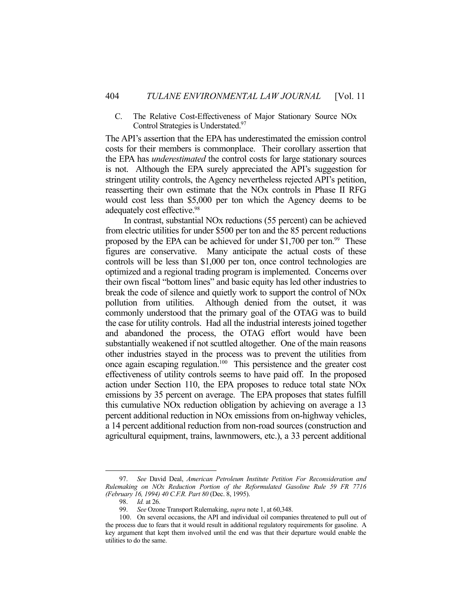## C. The Relative Cost-Effectiveness of Major Stationary Source NOx Control Strategies is Understated.<sup>97</sup>

The API's assertion that the EPA has underestimated the emission control costs for their members is commonplace. Their corollary assertion that the EPA has *underestimated* the control costs for large stationary sources is not. Although the EPA surely appreciated the API's suggestion for stringent utility controls, the Agency nevertheless rejected API's petition, reasserting their own estimate that the NOx controls in Phase II RFG would cost less than \$5,000 per ton which the Agency deems to be adequately cost effective.98

 In contrast, substantial NOx reductions (55 percent) can be achieved from electric utilities for under \$500 per ton and the 85 percent reductions proposed by the EPA can be achieved for under  $$1,700$  per ton.<sup>99</sup> These figures are conservative. Many anticipate the actual costs of these controls will be less than \$1,000 per ton, once control technologies are optimized and a regional trading program is implemented. Concerns over their own fiscal "bottom lines" and basic equity has led other industries to break the code of silence and quietly work to support the control of NOx pollution from utilities. Although denied from the outset, it was commonly understood that the primary goal of the OTAG was to build the case for utility controls. Had all the industrial interests joined together and abandoned the process, the OTAG effort would have been substantially weakened if not scuttled altogether. One of the main reasons other industries stayed in the process was to prevent the utilities from once again escaping regulation.100 This persistence and the greater cost effectiveness of utility controls seems to have paid off. In the proposed action under Section 110, the EPA proposes to reduce total state NOx emissions by 35 percent on average. The EPA proposes that states fulfill this cumulative NOx reduction obligation by achieving on average a 13 percent additional reduction in NOx emissions from on-highway vehicles, a 14 percent additional reduction from non-road sources (construction and agricultural equipment, trains, lawnmowers, etc.), a 33 percent additional

 <sup>97.</sup> *See* David Deal, *American Petroleum Institute Petition For Reconsideration and Rulemaking on NOx Reduction Portion of the Reformulated Gasoline Rule 59 FR 7716 (February 16, 1994) 40 C.F.R. Part 80* (Dec. 8, 1995).

*Id.* at 26.

 <sup>99.</sup> *See* Ozone Transport Rulemaking, *supra* note 1, at 60,348.

 <sup>100.</sup> On several occasions, the API and individual oil companies threatened to pull out of the process due to fears that it would result in additional regulatory requirements for gasoline. A key argument that kept them involved until the end was that their departure would enable the utilities to do the same.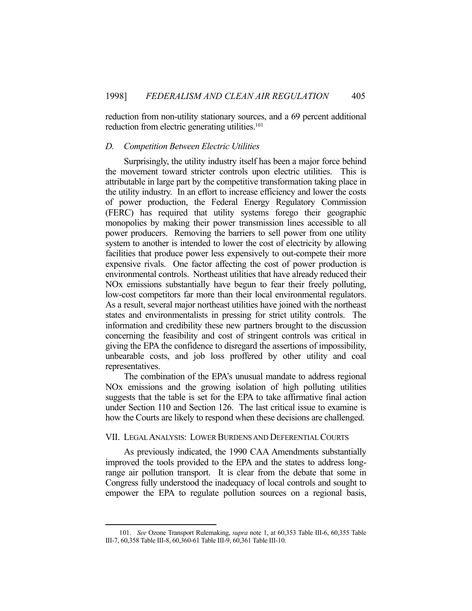reduction from non-utility stationary sources, and a 69 percent additional reduction from electric generating utilities.<sup>101</sup>

## *D. Competition Between Electric Utilities*

 Surprisingly, the utility industry itself has been a major force behind the movement toward stricter controls upon electric utilities. This is attributable in large part by the competitive transformation taking place in the utility industry. In an effort to increase efficiency and lower the costs of power production, the Federal Energy Regulatory Commission (FERC) has required that utility systems forego their geographic monopolies by making their power transmission lines accessible to all power producers. Removing the barriers to sell power from one utility system to another is intended to lower the cost of electricity by allowing facilities that produce power less expensively to out-compete their more expensive rivals. One factor affecting the cost of power production is environmental controls. Northeast utilities that have already reduced their NOx emissions substantially have begun to fear their freely polluting, low-cost competitors far more than their local environmental regulators. As a result, several major northeast utilities have joined with the northeast states and environmentalists in pressing for strict utility controls. The information and credibility these new partners brought to the discussion concerning the feasibility and cost of stringent controls was critical in giving the EPA the confidence to disregard the assertions of impossibility, unbearable costs, and job loss proffered by other utility and coal representatives.

 The combination of the EPA's unusual mandate to address regional NOx emissions and the growing isolation of high polluting utilities suggests that the table is set for the EPA to take affirmative final action under Section 110 and Section 126. The last critical issue to examine is how the Courts are likely to respond when these decisions are challenged.

## VII. LEGAL ANALYSIS: LOWER BURDENS AND DEFERENTIAL COURTS

 As previously indicated, the 1990 CAA Amendments substantially improved the tools provided to the EPA and the states to address longrange air pollution transport. It is clear from the debate that some in Congress fully understood the inadequacy of local controls and sought to empower the EPA to regulate pollution sources on a regional basis,

 <sup>101.</sup> *See* Ozone Transport Rulemaking, *supra* note 1, at 60,353 Table III-6, 60,355 Table III-7, 60,358 Table III-8, 60,360-61 Table III-9, 60,361 Table III-10.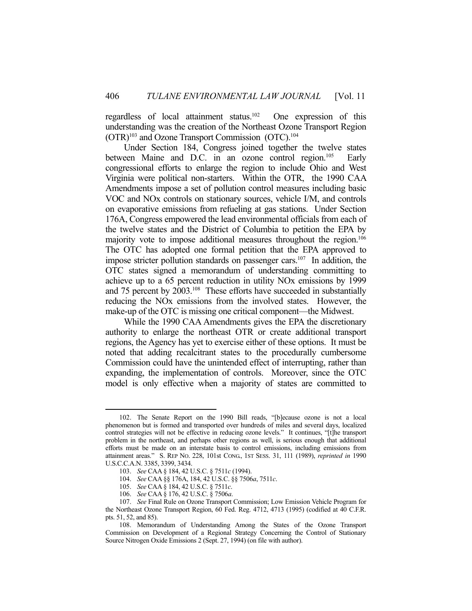regardless of local attainment status.102 One expression of this understanding was the creation of the Northeast Ozone Transport Region (OTR)103 and Ozone Transport Commission (OTC).104

 Under Section 184, Congress joined together the twelve states between Maine and D.C. in an ozone control region.<sup>105</sup> Early congressional efforts to enlarge the region to include Ohio and West Virginia were political non-starters. Within the OTR, the 1990 CAA Amendments impose a set of pollution control measures including basic VOC and NOx controls on stationary sources, vehicle I/M, and controls on evaporative emissions from refueling at gas stations. Under Section 176A, Congress empowered the lead environmental officials from each of the twelve states and the District of Columbia to petition the EPA by majority vote to impose additional measures throughout the region.<sup>106</sup> The OTC has adopted one formal petition that the EPA approved to impose stricter pollution standards on passenger cars.<sup>107</sup> In addition, the OTC states signed a memorandum of understanding committing to achieve up to a 65 percent reduction in utility NOx emissions by 1999 and 75 percent by 2003.<sup>108</sup> These efforts have succeeded in substantially reducing the NOx emissions from the involved states. However, the make-up of the OTC is missing one critical component—the Midwest.

 While the 1990 CAA Amendments gives the EPA the discretionary authority to enlarge the northeast OTR or create additional transport regions, the Agency has yet to exercise either of these options. It must be noted that adding recalcitrant states to the procedurally cumbersome Commission could have the unintended effect of interrupting, rather than expanding, the implementation of controls. Moreover, since the OTC model is only effective when a majority of states are committed to

 <sup>102.</sup> The Senate Report on the 1990 Bill reads, "[b]ecause ozone is not a local phenomenon but is formed and transported over hundreds of miles and several days, localized control strategies will not be effective in reducing ozone levels." It continues, "[t]he transport problem in the northeast, and perhaps other regions as well, is serious enough that additional efforts must be made on an interstate basis to control emissions, including emissions from attainment areas." S. REP NO. 228, 101st CONG., 1ST SESS. 31, 111 (1989), *reprinted in* 1990 U.S.C.C.A.N. 3385, 3399, 3434.

 <sup>103.</sup> *See* CAA § 184, 42 U.S.C. § 7511*c* (1994).

 <sup>104.</sup> *See* CAA §§ 176A, 184, 42 U.S.C. §§ 7506*a*, 7511*c*.

 <sup>105.</sup> *See* CAA § 184, 42 U.S.C. § 7511*c*.

 <sup>106.</sup> *See* CAA § 176, 42 U.S.C. § 7506*a*.

 <sup>107.</sup> *See* Final Rule on Ozone Transport Commission; Low Emission Vehicle Program for the Northeast Ozone Transport Region, 60 Fed. Reg. 4712, 4713 (1995) (codified at 40 C.F.R. pts. 51, 52, and 85).

 <sup>108.</sup> Memorandum of Understanding Among the States of the Ozone Transport Commission on Development of a Regional Strategy Concerning the Control of Stationary Source Nitrogen Oxide Emissions 2 (Sept. 27, 1994) (on file with author).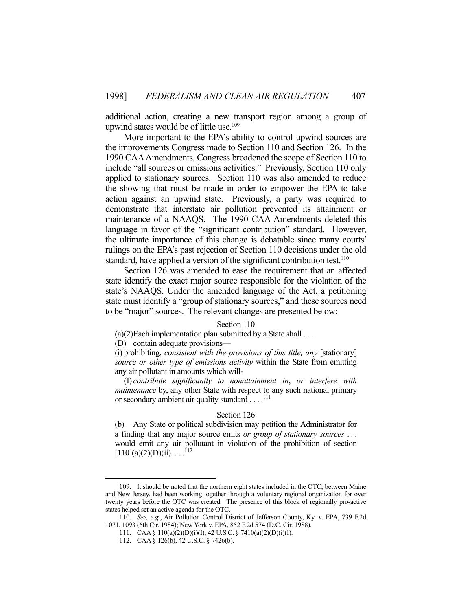additional action, creating a new transport region among a group of upwind states would be of little use.<sup>109</sup>

 More important to the EPA's ability to control upwind sources are the improvements Congress made to Section 110 and Section 126. In the 1990 CAA Amendments, Congress broadened the scope of Section 110 to include "all sources or emissions activities." Previously, Section 110 only applied to stationary sources. Section 110 was also amended to reduce the showing that must be made in order to empower the EPA to take action against an upwind state. Previously, a party was required to demonstrate that interstate air pollution prevented its attainment or maintenance of a NAAQS. The 1990 CAA Amendments deleted this language in favor of the "significant contribution" standard. However, the ultimate importance of this change is debatable since many courts' rulings on the EPA's past rejection of Section 110 decisions under the old standard, have applied a version of the significant contribution test.<sup>110</sup>

 Section 126 was amended to ease the requirement that an affected state identify the exact major source responsible for the violation of the state's NAAQS. Under the amended language of the Act, a petitioning state must identify a "group of stationary sources," and these sources need to be "major" sources. The relevant changes are presented below:

## Section 110

 $(a)(2)$  Each implementation plan submitted by a State shall  $\dots$ 

(D) contain adequate provisions—

(i) prohibiting, *consistent with the provisions of this title, any* [stationary] *source or other type of emissions activity* within the State from emitting any air pollutant in amounts which will-

 (I) *contribute significantly to nonattainment in*, *or interfere with maintenance* by, any other State with respect to any such national primary or secondary ambient air quality standard . . . .<sup>111</sup>

#### Section 126

(b) Any State or political subdivision may petition the Administrator for a finding that any major source emits *or group of stationary sources* . . . would emit any air pollutant in violation of the prohibition of section  $[110](a)(2)(D)(ii)$ ...<sup>112</sup>

 <sup>109.</sup> It should be noted that the northern eight states included in the OTC, between Maine and New Jersey, had been working together through a voluntary regional organization for over twenty years before the OTC was created. The presence of this block of regionally pro-active states helped set an active agenda for the OTC.

 <sup>110.</sup> *See, e.g.*, Air Pollution Control District of Jefferson County, Ky. v. EPA, 739 F.2d 1071, 1093 (6th Cir. 1984); New York v. EPA, 852 F.2d 574 (D.C. Cir. 1988).

 <sup>111.</sup> CAA § 110(a)(2)(D)(i)(I), 42 U.S.C. § 7410(a)(2)(D)(i)(I).

 <sup>112.</sup> CAA § 126(b), 42 U.S.C. § 7426(b).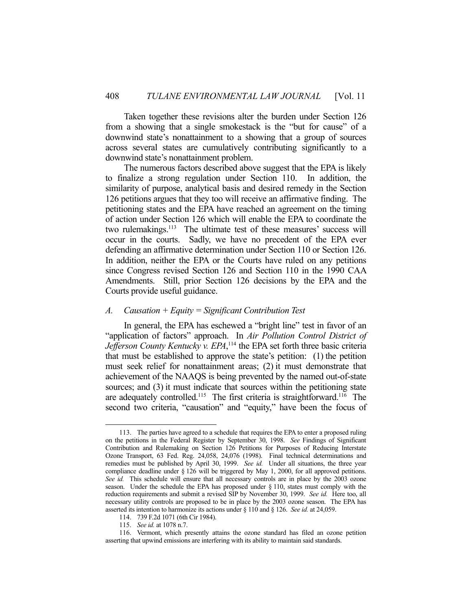Taken together these revisions alter the burden under Section 126 from a showing that a single smokestack is the "but for cause" of a downwind state's nonattainment to a showing that a group of sources across several states are cumulatively contributing significantly to a downwind state's nonattainment problem.

 The numerous factors described above suggest that the EPA is likely to finalize a strong regulation under Section 110. In addition, the similarity of purpose, analytical basis and desired remedy in the Section 126 petitions argues that they too will receive an affirmative finding. The petitioning states and the EPA have reached an agreement on the timing of action under Section 126 which will enable the EPA to coordinate the two rulemakings.<sup>113</sup> The ultimate test of these measures' success will occur in the courts. Sadly, we have no precedent of the EPA ever defending an affirmative determination under Section 110 or Section 126. In addition, neither the EPA or the Courts have ruled on any petitions since Congress revised Section 126 and Section 110 in the 1990 CAA Amendments. Still, prior Section 126 decisions by the EPA and the Courts provide useful guidance.

## *A. Causation + Equity = Significant Contribution Test*

 In general, the EPA has eschewed a "bright line" test in favor of an "application of factors" approach. In *Air Pollution Control District of*  Jefferson County Kentucky v. EPA,<sup>114</sup> the EPA set forth three basic criteria that must be established to approve the state's petition: (1) the petition must seek relief for nonattainment areas; (2) it must demonstrate that achievement of the NAAQS is being prevented by the named out-of-state sources; and (3) it must indicate that sources within the petitioning state are adequately controlled.<sup>115</sup> The first criteria is straightforward.<sup>116</sup> The second two criteria, "causation" and "equity," have been the focus of

 <sup>113.</sup> The parties have agreed to a schedule that requires the EPA to enter a proposed ruling on the petitions in the Federal Register by September 30, 1998. *See* Findings of Significant Contribution and Rulemaking on Section 126 Petitions for Purposes of Reducing Interstate Ozone Transport, 63 Fed. Reg. 24,058, 24,076 (1998). Final technical determinations and remedies must be published by April 30, 1999. *See id*. Under all situations, the three year compliance deadline under § 126 will be triggered by May 1, 2000, for all approved petitions. *See id.* This schedule will ensure that all necessary controls are in place by the 2003 ozone season. Under the schedule the EPA has proposed under  $\S$  110, states must comply with the reduction requirements and submit a revised SIP by November 30, 1999. *See id.* Here too, all necessary utility controls are proposed to be in place by the 2003 ozone season. The EPA has asserted its intention to harmonize its actions under § 110 and § 126. *See id.* at 24,059.

 <sup>114. 739</sup> F.2d 1071 (6th Cir 1984).

 <sup>115.</sup> *See id.* at 1078 n.7.

 <sup>116.</sup> Vermont, which presently attains the ozone standard has filed an ozone petition asserting that upwind emissions are interfering with its ability to maintain said standards.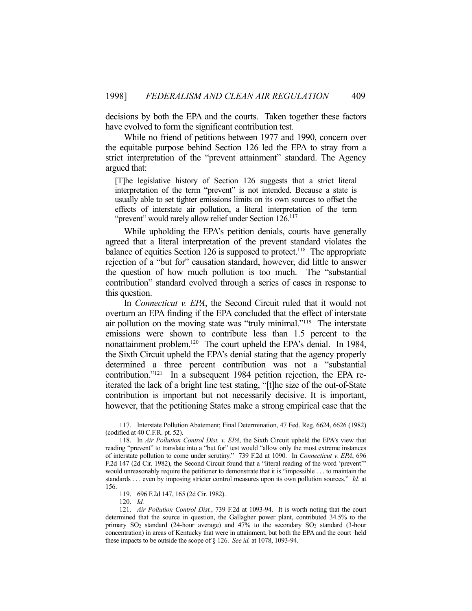decisions by both the EPA and the courts. Taken together these factors have evolved to form the significant contribution test.

 While no friend of petitions between 1977 and 1990, concern over the equitable purpose behind Section 126 led the EPA to stray from a strict interpretation of the "prevent attainment" standard. The Agency argued that:

[T]he legislative history of Section 126 suggests that a strict literal interpretation of the term "prevent" is not intended. Because a state is usually able to set tighter emissions limits on its own sources to offset the effects of interstate air pollution, a literal interpretation of the term "prevent" would rarely allow relief under Section  $126$ <sup>117</sup>

 While upholding the EPA's petition denials, courts have generally agreed that a literal interpretation of the prevent standard violates the balance of equities Section 126 is supposed to protect.<sup>118</sup> The appropriate rejection of a "but for" causation standard, however, did little to answer the question of how much pollution is too much. The "substantial contribution" standard evolved through a series of cases in response to this question.

 In *Connecticut v. EPA*, the Second Circuit ruled that it would not overturn an EPA finding if the EPA concluded that the effect of interstate air pollution on the moving state was "truly minimal."119 The interstate emissions were shown to contribute less than 1.5 percent to the nonattainment problem.120 The court upheld the EPA's denial. In 1984, the Sixth Circuit upheld the EPA's denial stating that the agency properly determined a three percent contribution was not a "substantial contribution."<sup>121</sup> In a subsequent 1984 petition rejection, the EPA reiterated the lack of a bright line test stating, "[t]he size of the out-of-State contribution is important but not necessarily decisive. It is important, however, that the petitioning States make a strong empirical case that the

 <sup>117.</sup> Interstate Pollution Abatement; Final Determination, 47 Fed. Reg. 6624, 6626 (1982) (codified at 40 C.F.R. pt. 52).

 <sup>118.</sup> In *Air Pollution Control Dist. v. EPA*, the Sixth Circuit upheld the EPA's view that reading "prevent" to translate into a "but for" test would "allow only the most extreme instances of interstate pollution to come under scrutiny." 739 F.2d at 1090. In *Connecticut v. EPA*, 696 F.2d 147 (2d Cir. 1982), the Second Circuit found that a "literal reading of the word 'prevent'" would unreasonably require the petitioner to demonstrate that it is "impossible . . . to maintain the standards . . . even by imposing stricter control measures upon its own pollution sources." *Id.* at 156.

 <sup>119. 696</sup> F.2d 147, 165 (2d Cir. 1982).

 <sup>120.</sup> *Id.*

 <sup>121.</sup> *Air Pollution Control Dist.*, 739 F.2d at 1093-94. It is worth noting that the court determined that the source in question, the Gallagher power plant, contributed 34.5% to the primary SO2 standard (24-hour average) and 47% to the secondary SO2 standard (3-hour concentration) in areas of Kentucky that were in attainment, but both the EPA and the court held these impacts to be outside the scope of § 126. *See id.* at 1078, 1093-94.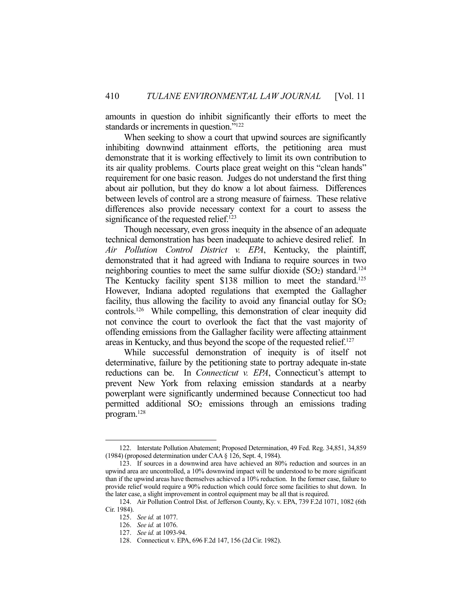amounts in question do inhibit significantly their efforts to meet the standards or increments in question."<sup>122</sup>

 When seeking to show a court that upwind sources are significantly inhibiting downwind attainment efforts, the petitioning area must demonstrate that it is working effectively to limit its own contribution to its air quality problems. Courts place great weight on this "clean hands" requirement for one basic reason. Judges do not understand the first thing about air pollution, but they do know a lot about fairness. Differences between levels of control are a strong measure of fairness. These relative differences also provide necessary context for a court to assess the significance of the requested relief.<sup>123</sup>

 Though necessary, even gross inequity in the absence of an adequate technical demonstration has been inadequate to achieve desired relief. In *Air Pollution Control District v. EPA*, Kentucky, the plaintiff, demonstrated that it had agreed with Indiana to require sources in two neighboring counties to meet the same sulfur dioxide  $(SO<sub>2</sub>)$  standard.<sup>124</sup> The Kentucky facility spent \$138 million to meet the standard.<sup>125</sup> However, Indiana adopted regulations that exempted the Gallagher facility, thus allowing the facility to avoid any financial outlay for  $SO<sub>2</sub>$ controls.126 While compelling, this demonstration of clear inequity did not convince the court to overlook the fact that the vast majority of offending emissions from the Gallagher facility were affecting attainment areas in Kentucky, and thus beyond the scope of the requested relief.127

 While successful demonstration of inequity is of itself not determinative, failure by the petitioning state to portray adequate in-state reductions can be. In *Connecticut v. EPA*, Connecticut's attempt to prevent New York from relaxing emission standards at a nearby powerplant were significantly undermined because Connecticut too had permitted additional SO2 emissions through an emissions trading program.128

 <sup>122.</sup> Interstate Pollution Abatement; Proposed Determination, 49 Fed. Reg. 34,851, 34,859 (1984) (proposed determination under CAA § 126, Sept. 4, 1984).

 <sup>123.</sup> If sources in a downwind area have achieved an 80% reduction and sources in an upwind area are uncontrolled, a 10% downwind impact will be understood to be more significant than if the upwind areas have themselves achieved a 10% reduction. In the former case, failure to provide relief would require a 90% reduction which could force some facilities to shut down. In the later case, a slight improvement in control equipment may be all that is required.

 <sup>124.</sup> Air Pollution Control Dist. of Jefferson County, Ky. v. EPA, 739 F.2d 1071, 1082 (6th Cir. 1984).

 <sup>125.</sup> *See id.* at 1077.

 <sup>126.</sup> *See id.* at 1076.

 <sup>127.</sup> *See id.* at 1093-94.

 <sup>128.</sup> Connecticut v. EPA, 696 F.2d 147, 156 (2d Cir. 1982).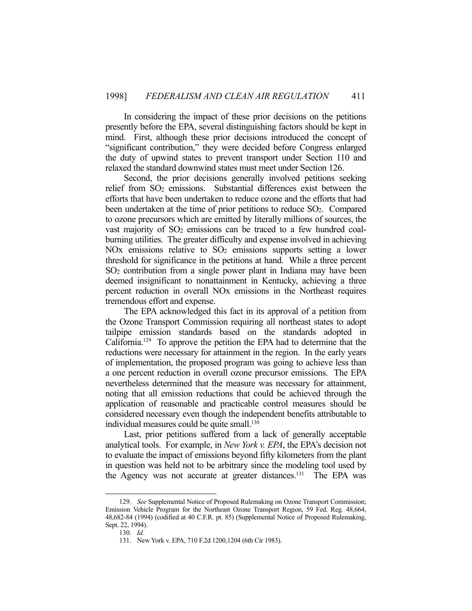In considering the impact of these prior decisions on the petitions presently before the EPA, several distinguishing factors should be kept in mind. First, although these prior decisions introduced the concept of "significant contribution," they were decided before Congress enlarged the duty of upwind states to prevent transport under Section 110 and relaxed the standard downwind states must meet under Section 126.

 Second, the prior decisions generally involved petitions seeking relief from SO2 emissions. Substantial differences exist between the efforts that have been undertaken to reduce ozone and the efforts that had been undertaken at the time of prior petitions to reduce SO<sub>2</sub>. Compared to ozone precursors which are emitted by literally millions of sources, the vast majority of  $SO<sub>2</sub>$  emissions can be traced to a few hundred coalburning utilities. The greater difficulty and expense involved in achieving NOx emissions relative to  $SO<sub>2</sub>$  emissions supports setting a lower threshold for significance in the petitions at hand. While a three percent SO2 contribution from a single power plant in Indiana may have been deemed insignificant to nonattainment in Kentucky, achieving a three percent reduction in overall NOx emissions in the Northeast requires tremendous effort and expense.

 The EPA acknowledged this fact in its approval of a petition from the Ozone Transport Commission requiring all northeast states to adopt tailpipe emission standards based on the standards adopted in California.129 To approve the petition the EPA had to determine that the reductions were necessary for attainment in the region. In the early years of implementation, the proposed program was going to achieve less than a one percent reduction in overall ozone precursor emissions. The EPA nevertheless determined that the measure was necessary for attainment, noting that all emission reductions that could be achieved through the application of reasonable and practicable control measures should be considered necessary even though the independent benefits attributable to individual measures could be quite small.<sup>130</sup>

 Last, prior petitions suffered from a lack of generally acceptable analytical tools. For example, in *New York v. EPA*, the EPA's decision not to evaluate the impact of emissions beyond fifty kilometers from the plant in question was held not to be arbitrary since the modeling tool used by the Agency was not accurate at greater distances.<sup>131</sup> The EPA was

 <sup>129.</sup> *See* Supplemental Notice of Proposed Rulemaking on Ozone Transport Commission; Emission Vehicle Program for the Northeast Ozone Transport Region, 59 Fed. Reg. 48,664, 48,682-84 (1994) (codified at 40 C.F.R. pt. 85) (Supplemental Notice of Proposed Rulemaking, Sept. 22, 1994).

 <sup>130.</sup> *Id.*

 <sup>131.</sup> New York v. EPA, 710 F.2d 1200,1204 (6th Cir 1983).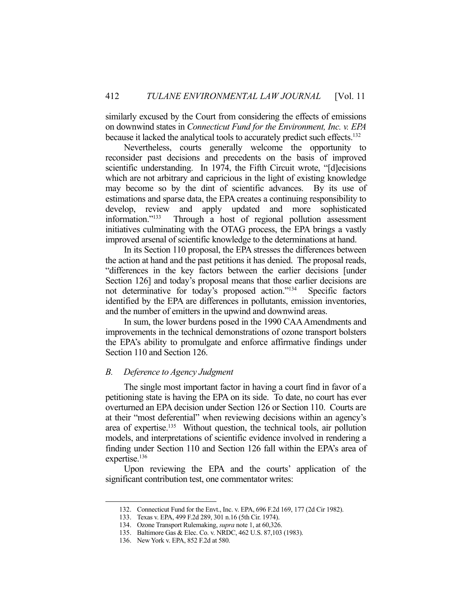similarly excused by the Court from considering the effects of emissions on downwind states in *Connecticut Fund for the Environment, Inc. v. EPA* because it lacked the analytical tools to accurately predict such effects.132

 Nevertheless, courts generally welcome the opportunity to reconsider past decisions and precedents on the basis of improved scientific understanding. In 1974, the Fifth Circuit wrote, "[d]ecisions which are not arbitrary and capricious in the light of existing knowledge may become so by the dint of scientific advances. By its use of estimations and sparse data, the EPA creates a continuing responsibility to develop, review and apply updated and more sophisticated information."133 Through a host of regional pollution assessment initiatives culminating with the OTAG process, the EPA brings a vastly improved arsenal of scientific knowledge to the determinations at hand.

 In its Section 110 proposal, the EPA stresses the differences between the action at hand and the past petitions it has denied. The proposal reads, "differences in the key factors between the earlier decisions [under Section 126] and today's proposal means that those earlier decisions are not determinative for today's proposed action."134 Specific factors identified by the EPA are differences in pollutants, emission inventories, and the number of emitters in the upwind and downwind areas.

 In sum, the lower burdens posed in the 1990 CAA Amendments and improvements in the technical demonstrations of ozone transport bolsters the EPA's ability to promulgate and enforce affirmative findings under Section 110 and Section 126.

## *B. Deference to Agency Judgment*

 The single most important factor in having a court find in favor of a petitioning state is having the EPA on its side. To date, no court has ever overturned an EPA decision under Section 126 or Section 110. Courts are at their "most deferential" when reviewing decisions within an agency's area of expertise.<sup>135</sup> Without question, the technical tools, air pollution models, and interpretations of scientific evidence involved in rendering a finding under Section 110 and Section 126 fall within the EPA's area of expertise.<sup>136</sup>

 Upon reviewing the EPA and the courts' application of the significant contribution test, one commentator writes:

 <sup>132.</sup> Connecticut Fund for the Envt., Inc. v. EPA, 696 F.2d 169, 177 (2d Cir 1982).

 <sup>133.</sup> Texas v. EPA, 499 F.2d 289, 301 n.16 (5th Cir. 1974).

 <sup>134.</sup> Ozone Transport Rulemaking, *supra* note 1, at 60,326.

 <sup>135.</sup> Baltimore Gas & Elec. Co. v. NRDC, 462 U.S. 87,103 (1983).

 <sup>136.</sup> New York v. EPA, 852 F.2d at 580.